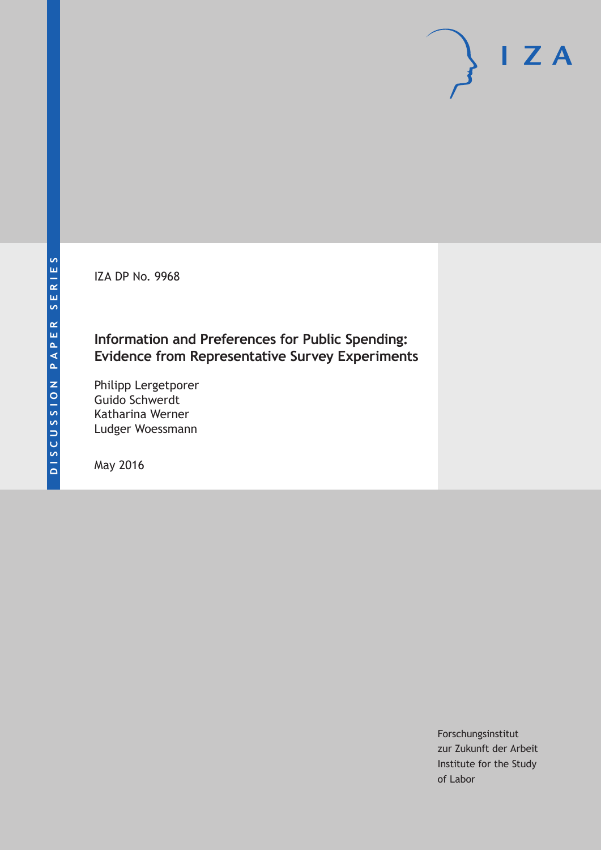IZA DP No. 9968

## **Information and Preferences for Public Spending: Evidence from Representative Survey Experiments**

Philipp Lergetporer Guido Schwerdt Katharina Werner Ludger Woessmann

May 2016

Forschungsinstitut zur Zukunft der Arbeit Institute for the Study of Labor

 $I Z A$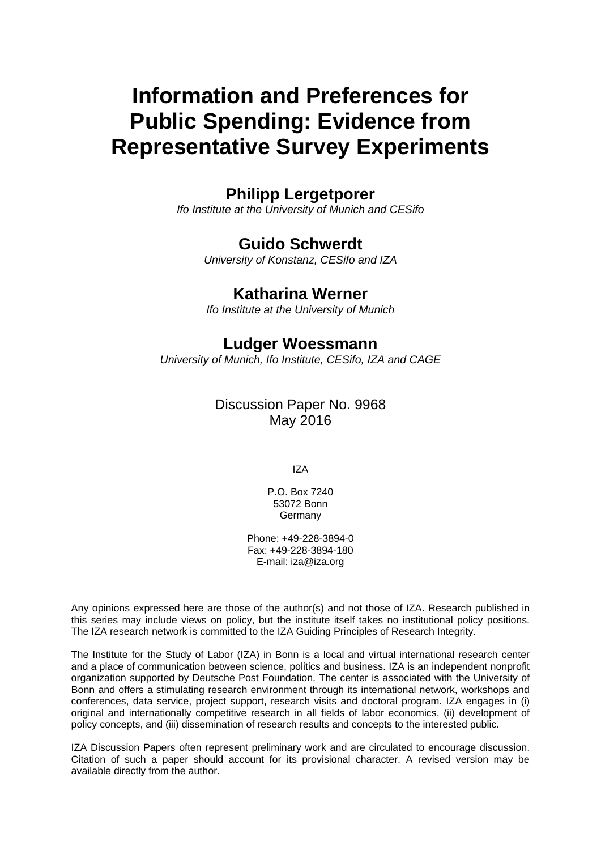# **Information and Preferences for Public Spending: Evidence from Representative Survey Experiments**

## **Philipp Lergetporer**

*Ifo Institute at the University of Munich and CESifo* 

## **Guido Schwerdt**

*University of Konstanz, CESifo and IZA* 

### **Katharina Werner**

*Ifo Institute at the University of Munich*

### **Ludger Woessmann**

*University of Munich, Ifo Institute, CESifo, IZA and CAGE* 

### Discussion Paper No. 9968 May 2016

IZA

P.O. Box 7240 53072 Bonn Germany

Phone: +49-228-3894-0 Fax: +49-228-3894-180 E-mail: iza@iza.org

Any opinions expressed here are those of the author(s) and not those of IZA. Research published in this series may include views on policy, but the institute itself takes no institutional policy positions. The IZA research network is committed to the IZA Guiding Principles of Research Integrity.

The Institute for the Study of Labor (IZA) in Bonn is a local and virtual international research center and a place of communication between science, politics and business. IZA is an independent nonprofit organization supported by Deutsche Post Foundation. The center is associated with the University of Bonn and offers a stimulating research environment through its international network, workshops and conferences, data service, project support, research visits and doctoral program. IZA engages in (i) original and internationally competitive research in all fields of labor economics, (ii) development of policy concepts, and (iii) dissemination of research results and concepts to the interested public.

IZA Discussion Papers often represent preliminary work and are circulated to encourage discussion. Citation of such a paper should account for its provisional character. A revised version may be available directly from the author.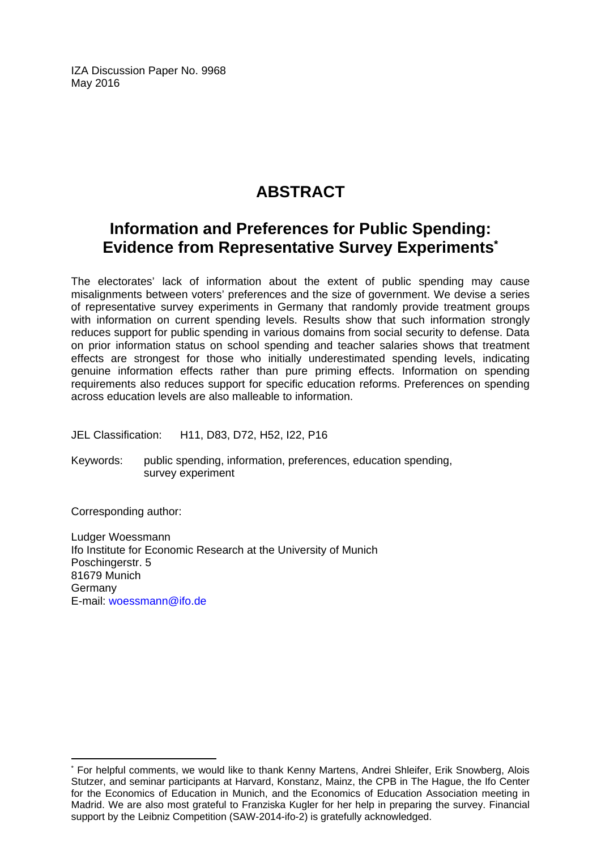IZA Discussion Paper No. 9968 May 2016

## **ABSTRACT**

## **Information and Preferences for Public Spending: Evidence from Representative Survey Experiments\***

The electorates' lack of information about the extent of public spending may cause misalignments between voters' preferences and the size of government. We devise a series of representative survey experiments in Germany that randomly provide treatment groups with information on current spending levels. Results show that such information strongly reduces support for public spending in various domains from social security to defense. Data on prior information status on school spending and teacher salaries shows that treatment effects are strongest for those who initially underestimated spending levels, indicating genuine information effects rather than pure priming effects. Information on spending requirements also reduces support for specific education reforms. Preferences on spending across education levels are also malleable to information.

JEL Classification: H11, D83, D72, H52, I22, P16

Keywords: public spending, information, preferences, education spending, survey experiment

Corresponding author:

 $\overline{a}$ 

Ludger Woessmann Ifo Institute for Economic Research at the University of Munich Poschingerstr. 5 81679 Munich **Germany** E-mail: woessmann@ifo.de

<sup>\*</sup> For helpful comments, we would like to thank Kenny Martens, Andrei Shleifer, Erik Snowberg, Alois Stutzer, and seminar participants at Harvard, Konstanz, Mainz, the CPB in The Hague, the Ifo Center for the Economics of Education in Munich, and the Economics of Education Association meeting in Madrid. We are also most grateful to Franziska Kugler for her help in preparing the survey. Financial support by the Leibniz Competition (SAW-2014-ifo-2) is gratefully acknowledged.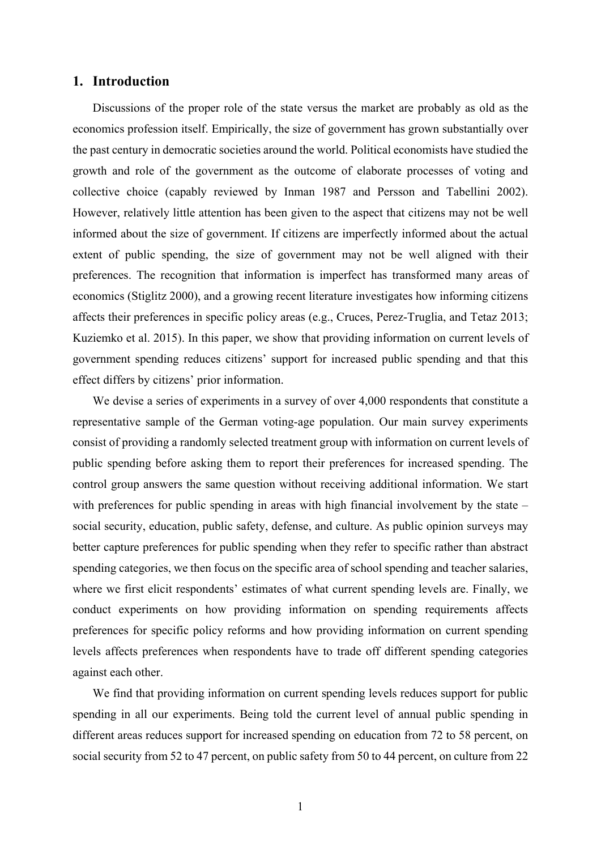#### **1. Introduction**

Discussions of the proper role of the state versus the market are probably as old as the economics profession itself. Empirically, the size of government has grown substantially over the past century in democratic societies around the world. Political economists have studied the growth and role of the government as the outcome of elaborate processes of voting and collective choice (capably reviewed by Inman 1987 and Persson and Tabellini 2002). However, relatively little attention has been given to the aspect that citizens may not be well informed about the size of government. If citizens are imperfectly informed about the actual extent of public spending, the size of government may not be well aligned with their preferences. The recognition that information is imperfect has transformed many areas of economics (Stiglitz 2000), and a growing recent literature investigates how informing citizens affects their preferences in specific policy areas (e.g., Cruces, Perez-Truglia, and Tetaz 2013; Kuziemko et al. 2015). In this paper, we show that providing information on current levels of government spending reduces citizens' support for increased public spending and that this effect differs by citizens' prior information.

We devise a series of experiments in a survey of over 4,000 respondents that constitute a representative sample of the German voting-age population. Our main survey experiments consist of providing a randomly selected treatment group with information on current levels of public spending before asking them to report their preferences for increased spending. The control group answers the same question without receiving additional information. We start with preferences for public spending in areas with high financial involvement by the state – social security, education, public safety, defense, and culture. As public opinion surveys may better capture preferences for public spending when they refer to specific rather than abstract spending categories, we then focus on the specific area of school spending and teacher salaries, where we first elicit respondents' estimates of what current spending levels are. Finally, we conduct experiments on how providing information on spending requirements affects preferences for specific policy reforms and how providing information on current spending levels affects preferences when respondents have to trade off different spending categories against each other.

We find that providing information on current spending levels reduces support for public spending in all our experiments. Being told the current level of annual public spending in different areas reduces support for increased spending on education from 72 to 58 percent, on social security from 52 to 47 percent, on public safety from 50 to 44 percent, on culture from 22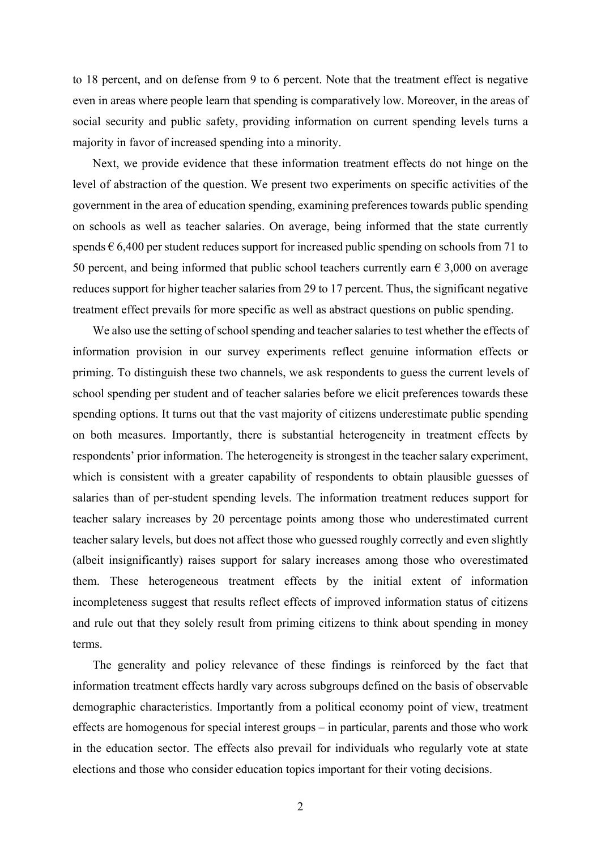to 18 percent, and on defense from 9 to 6 percent. Note that the treatment effect is negative even in areas where people learn that spending is comparatively low. Moreover, in the areas of social security and public safety, providing information on current spending levels turns a majority in favor of increased spending into a minority.

Next, we provide evidence that these information treatment effects do not hinge on the level of abstraction of the question. We present two experiments on specific activities of the government in the area of education spending, examining preferences towards public spending on schools as well as teacher salaries. On average, being informed that the state currently spends  $\epsilon$  6,400 per student reduces support for increased public spending on schools from 71 to 50 percent, and being informed that public school teachers currently earn  $\epsilon$  3,000 on average reduces support for higher teacher salaries from 29 to 17 percent. Thus, the significant negative treatment effect prevails for more specific as well as abstract questions on public spending.

We also use the setting of school spending and teacher salaries to test whether the effects of information provision in our survey experiments reflect genuine information effects or priming. To distinguish these two channels, we ask respondents to guess the current levels of school spending per student and of teacher salaries before we elicit preferences towards these spending options. It turns out that the vast majority of citizens underestimate public spending on both measures. Importantly, there is substantial heterogeneity in treatment effects by respondents' prior information. The heterogeneity is strongest in the teacher salary experiment, which is consistent with a greater capability of respondents to obtain plausible guesses of salaries than of per-student spending levels. The information treatment reduces support for teacher salary increases by 20 percentage points among those who underestimated current teacher salary levels, but does not affect those who guessed roughly correctly and even slightly (albeit insignificantly) raises support for salary increases among those who overestimated them. These heterogeneous treatment effects by the initial extent of information incompleteness suggest that results reflect effects of improved information status of citizens and rule out that they solely result from priming citizens to think about spending in money terms.

The generality and policy relevance of these findings is reinforced by the fact that information treatment effects hardly vary across subgroups defined on the basis of observable demographic characteristics. Importantly from a political economy point of view, treatment effects are homogenous for special interest groups – in particular, parents and those who work in the education sector. The effects also prevail for individuals who regularly vote at state elections and those who consider education topics important for their voting decisions.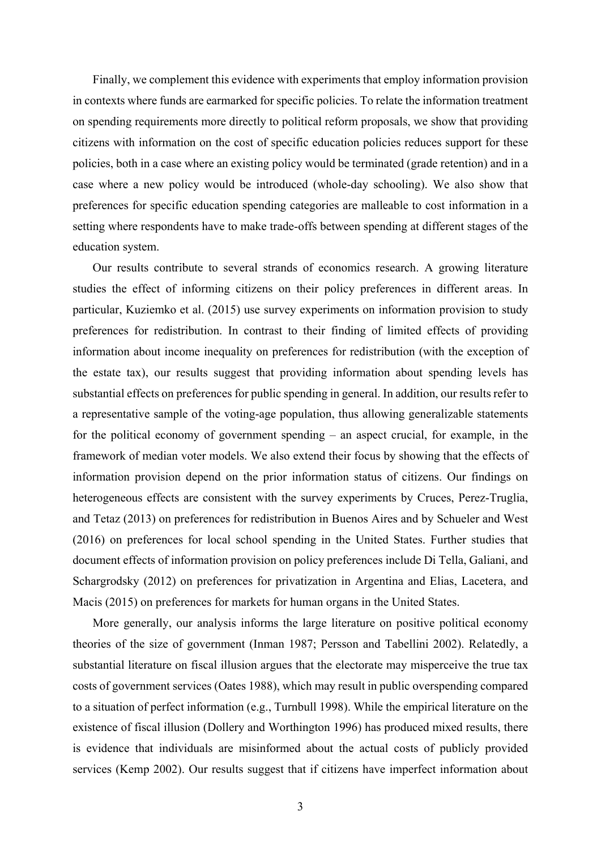Finally, we complement this evidence with experiments that employ information provision in contexts where funds are earmarked for specific policies. To relate the information treatment on spending requirements more directly to political reform proposals, we show that providing citizens with information on the cost of specific education policies reduces support for these policies, both in a case where an existing policy would be terminated (grade retention) and in a case where a new policy would be introduced (whole-day schooling). We also show that preferences for specific education spending categories are malleable to cost information in a setting where respondents have to make trade-offs between spending at different stages of the education system.

Our results contribute to several strands of economics research. A growing literature studies the effect of informing citizens on their policy preferences in different areas. In particular, Kuziemko et al. (2015) use survey experiments on information provision to study preferences for redistribution. In contrast to their finding of limited effects of providing information about income inequality on preferences for redistribution (with the exception of the estate tax), our results suggest that providing information about spending levels has substantial effects on preferences for public spending in general. In addition, our results refer to a representative sample of the voting-age population, thus allowing generalizable statements for the political economy of government spending – an aspect crucial, for example, in the framework of median voter models. We also extend their focus by showing that the effects of information provision depend on the prior information status of citizens. Our findings on heterogeneous effects are consistent with the survey experiments by Cruces, Perez-Truglia, and Tetaz (2013) on preferences for redistribution in Buenos Aires and by Schueler and West (2016) on preferences for local school spending in the United States. Further studies that document effects of information provision on policy preferences include Di Tella, Galiani, and Schargrodsky (2012) on preferences for privatization in Argentina and Elias, Lacetera, and Macis (2015) on preferences for markets for human organs in the United States.

More generally, our analysis informs the large literature on positive political economy theories of the size of government (Inman 1987; Persson and Tabellini 2002). Relatedly, a substantial literature on fiscal illusion argues that the electorate may misperceive the true tax costs of government services (Oates 1988), which may result in public overspending compared to a situation of perfect information (e.g., Turnbull 1998). While the empirical literature on the existence of fiscal illusion (Dollery and Worthington 1996) has produced mixed results, there is evidence that individuals are misinformed about the actual costs of publicly provided services (Kemp 2002). Our results suggest that if citizens have imperfect information about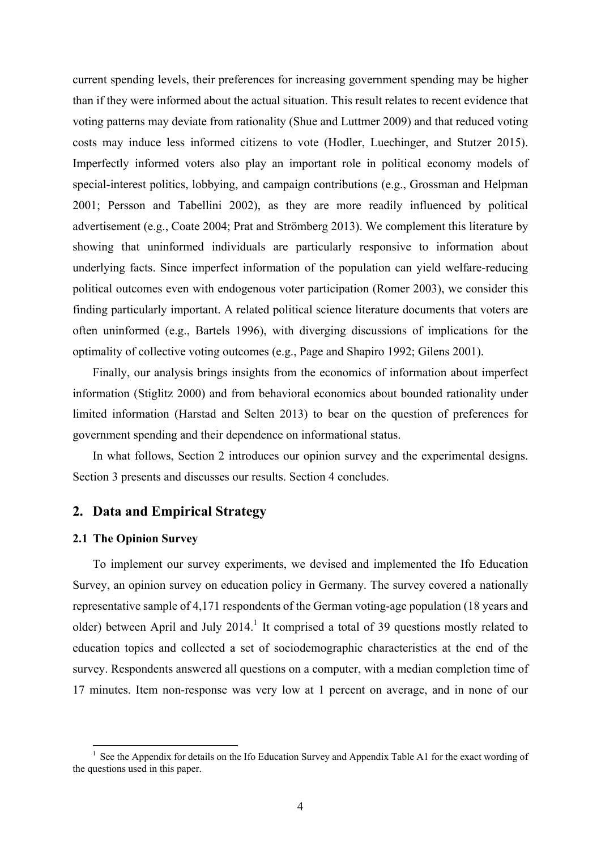current spending levels, their preferences for increasing government spending may be higher than if they were informed about the actual situation. This result relates to recent evidence that voting patterns may deviate from rationality (Shue and Luttmer 2009) and that reduced voting costs may induce less informed citizens to vote (Hodler, Luechinger, and Stutzer 2015). Imperfectly informed voters also play an important role in political economy models of special-interest politics, lobbying, and campaign contributions (e.g., Grossman and Helpman 2001; Persson and Tabellini 2002), as they are more readily influenced by political advertisement (e.g., Coate 2004; Prat and Strömberg 2013). We complement this literature by showing that uninformed individuals are particularly responsive to information about underlying facts. Since imperfect information of the population can yield welfare-reducing political outcomes even with endogenous voter participation (Romer 2003), we consider this finding particularly important. A related political science literature documents that voters are often uninformed (e.g., Bartels 1996), with diverging discussions of implications for the optimality of collective voting outcomes (e.g., Page and Shapiro 1992; Gilens 2001).

Finally, our analysis brings insights from the economics of information about imperfect information (Stiglitz 2000) and from behavioral economics about bounded rationality under limited information (Harstad and Selten 2013) to bear on the question of preferences for government spending and their dependence on informational status.

In what follows, Section 2 introduces our opinion survey and the experimental designs. Section 3 presents and discusses our results. Section 4 concludes.

#### **2. Data and Empirical Strategy**

#### **2.1 The Opinion Survey**

1

To implement our survey experiments, we devised and implemented the Ifo Education Survey, an opinion survey on education policy in Germany. The survey covered a nationally representative sample of 4,171 respondents of the German voting-age population (18 years and older) between April and July  $2014$ .<sup>1</sup> It comprised a total of 39 questions mostly related to education topics and collected a set of sociodemographic characteristics at the end of the survey. Respondents answered all questions on a computer, with a median completion time of 17 minutes. Item non-response was very low at 1 percent on average, and in none of our

<sup>1</sup> See the Appendix for details on the Ifo Education Survey and Appendix Table A1 for the exact wording of the questions used in this paper.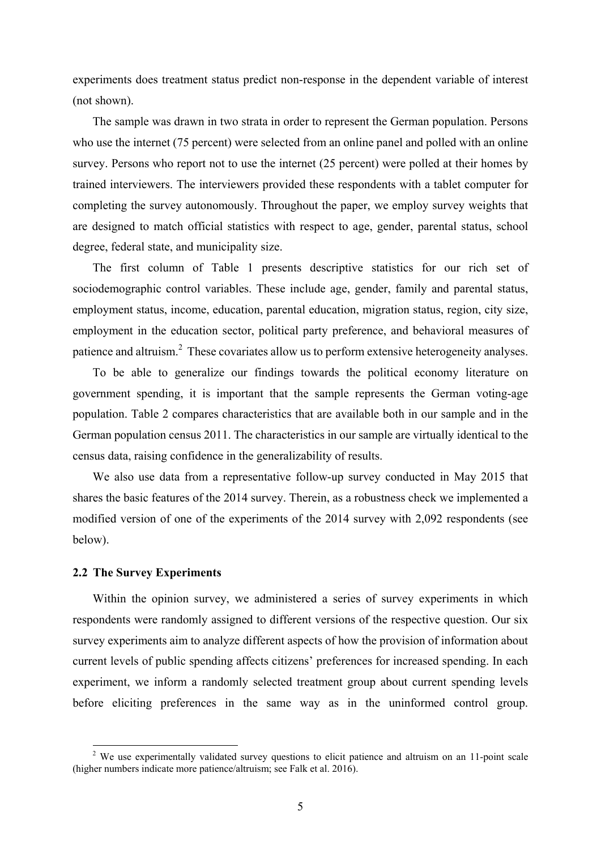experiments does treatment status predict non-response in the dependent variable of interest (not shown).

The sample was drawn in two strata in order to represent the German population. Persons who use the internet (75 percent) were selected from an online panel and polled with an online survey. Persons who report not to use the internet (25 percent) were polled at their homes by trained interviewers. The interviewers provided these respondents with a tablet computer for completing the survey autonomously. Throughout the paper, we employ survey weights that are designed to match official statistics with respect to age, gender, parental status, school degree, federal state, and municipality size.

The first column of Table 1 presents descriptive statistics for our rich set of sociodemographic control variables. These include age, gender, family and parental status, employment status, income, education, parental education, migration status, region, city size, employment in the education sector, political party preference, and behavioral measures of patience and altruism.<sup>2</sup> These covariates allow us to perform extensive heterogeneity analyses.

To be able to generalize our findings towards the political economy literature on government spending, it is important that the sample represents the German voting-age population. Table 2 compares characteristics that are available both in our sample and in the German population census 2011. The characteristics in our sample are virtually identical to the census data, raising confidence in the generalizability of results.

We also use data from a representative follow-up survey conducted in May 2015 that shares the basic features of the 2014 survey. Therein, as a robustness check we implemented a modified version of one of the experiments of the 2014 survey with 2,092 respondents (see below).

#### **2.2 The Survey Experiments**

1

Within the opinion survey, we administered a series of survey experiments in which respondents were randomly assigned to different versions of the respective question. Our six survey experiments aim to analyze different aspects of how the provision of information about current levels of public spending affects citizens' preferences for increased spending. In each experiment, we inform a randomly selected treatment group about current spending levels before eliciting preferences in the same way as in the uninformed control group.

<sup>&</sup>lt;sup>2</sup> We use experimentally validated survey questions to elicit patience and altruism on an 11-point scale (higher numbers indicate more patience/altruism; see Falk et al. 2016).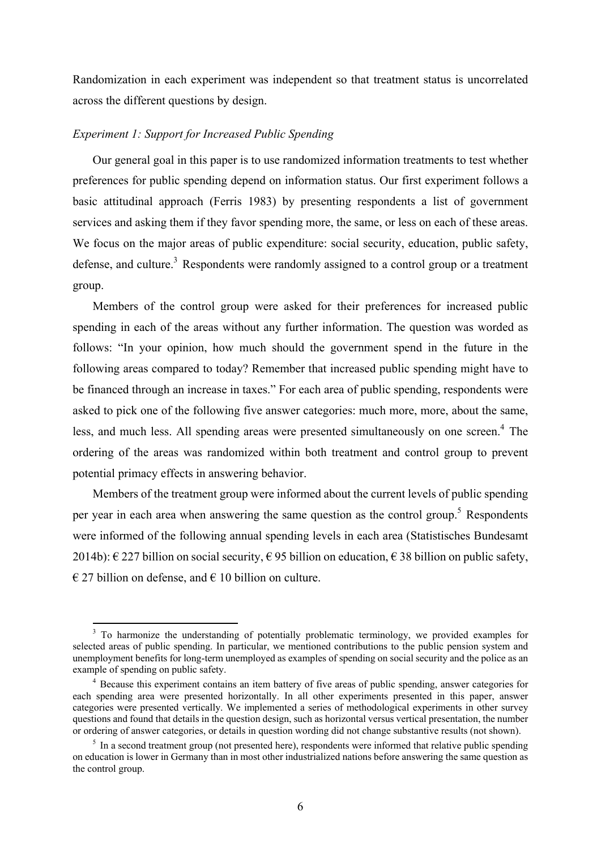Randomization in each experiment was independent so that treatment status is uncorrelated across the different questions by design.

#### *Experiment 1: Support for Increased Public Spending*

1

Our general goal in this paper is to use randomized information treatments to test whether preferences for public spending depend on information status. Our first experiment follows a basic attitudinal approach (Ferris 1983) by presenting respondents a list of government services and asking them if they favor spending more, the same, or less on each of these areas. We focus on the major areas of public expenditure: social security, education, public safety, defense, and culture.<sup>3</sup> Respondents were randomly assigned to a control group or a treatment group.

Members of the control group were asked for their preferences for increased public spending in each of the areas without any further information. The question was worded as follows: "In your opinion, how much should the government spend in the future in the following areas compared to today? Remember that increased public spending might have to be financed through an increase in taxes." For each area of public spending, respondents were asked to pick one of the following five answer categories: much more, more, about the same, less, and much less. All spending areas were presented simultaneously on one screen.<sup>4</sup> The ordering of the areas was randomized within both treatment and control group to prevent potential primacy effects in answering behavior.

Members of the treatment group were informed about the current levels of public spending per year in each area when answering the same question as the control group.<sup>5</sup> Respondents were informed of the following annual spending levels in each area (Statistisches Bundesamt 2014b):  $\epsilon$  227 billion on social security,  $\epsilon$  95 billion on education,  $\epsilon$  38 billion on public safety,  $\epsilon$  27 billion on defense, and  $\epsilon$  10 billion on culture.

<sup>&</sup>lt;sup>3</sup> To harmonize the understanding of potentially problematic terminology, we provided examples for selected areas of public spending. In particular, we mentioned contributions to the public pension system and unemployment benefits for long-term unemployed as examples of spending on social security and the police as an example of spending on public safety.

<sup>&</sup>lt;sup>4</sup> Because this experiment contains an item battery of five areas of public spending, answer categories for each spending area were presented horizontally. In all other experiments presented in this paper, answer categories were presented vertically. We implemented a series of methodological experiments in other survey questions and found that details in the question design, such as horizontal versus vertical presentation, the number or ordering of answer categories, or details in question wording did not change substantive results (not shown). 5

 $\frac{1}{2}$  In a second treatment group (not presented here), respondents were informed that relative public spending on education is lower in Germany than in most other industrialized nations before answering the same question as the control group.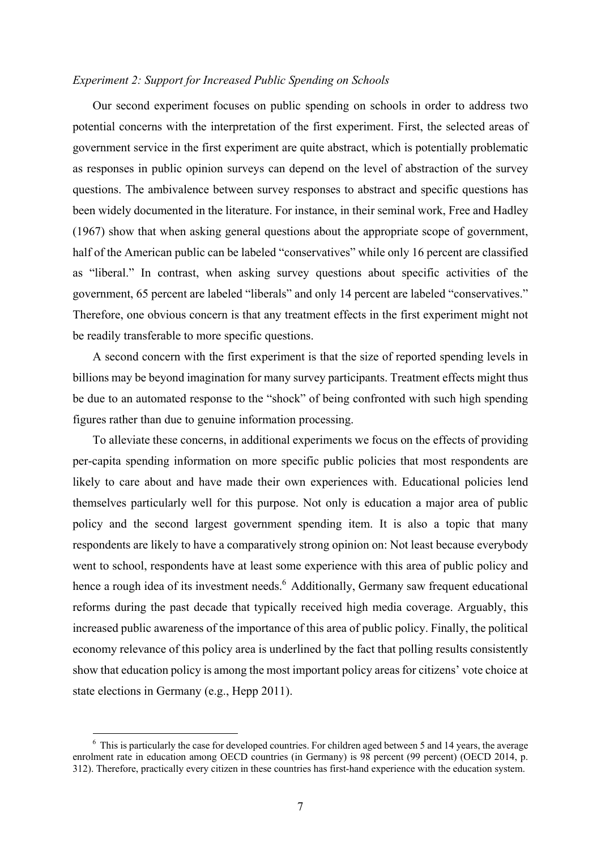#### *Experiment 2: Support for Increased Public Spending on Schools*

Our second experiment focuses on public spending on schools in order to address two potential concerns with the interpretation of the first experiment. First, the selected areas of government service in the first experiment are quite abstract, which is potentially problematic as responses in public opinion surveys can depend on the level of abstraction of the survey questions. The ambivalence between survey responses to abstract and specific questions has been widely documented in the literature. For instance, in their seminal work, Free and Hadley (1967) show that when asking general questions about the appropriate scope of government, half of the American public can be labeled "conservatives" while only 16 percent are classified as "liberal." In contrast, when asking survey questions about specific activities of the government, 65 percent are labeled "liberals" and only 14 percent are labeled "conservatives." Therefore, one obvious concern is that any treatment effects in the first experiment might not be readily transferable to more specific questions.

A second concern with the first experiment is that the size of reported spending levels in billions may be beyond imagination for many survey participants. Treatment effects might thus be due to an automated response to the "shock" of being confronted with such high spending figures rather than due to genuine information processing.

To alleviate these concerns, in additional experiments we focus on the effects of providing per-capita spending information on more specific public policies that most respondents are likely to care about and have made their own experiences with. Educational policies lend themselves particularly well for this purpose. Not only is education a major area of public policy and the second largest government spending item. It is also a topic that many respondents are likely to have a comparatively strong opinion on: Not least because everybody went to school, respondents have at least some experience with this area of public policy and hence a rough idea of its investment needs.<sup>6</sup> Additionally, Germany saw frequent educational reforms during the past decade that typically received high media coverage. Arguably, this increased public awareness of the importance of this area of public policy. Finally, the political economy relevance of this policy area is underlined by the fact that polling results consistently show that education policy is among the most important policy areas for citizens' vote choice at state elections in Germany (e.g., Hepp 2011).

1

<sup>&</sup>lt;sup>6</sup> This is particularly the case for developed countries. For children aged between 5 and 14 years, the average enrolment rate in education among OECD countries (in Germany) is 98 percent (99 percent) (OECD 2014, p. 312). Therefore, practically every citizen in these countries has first-hand experience with the education system.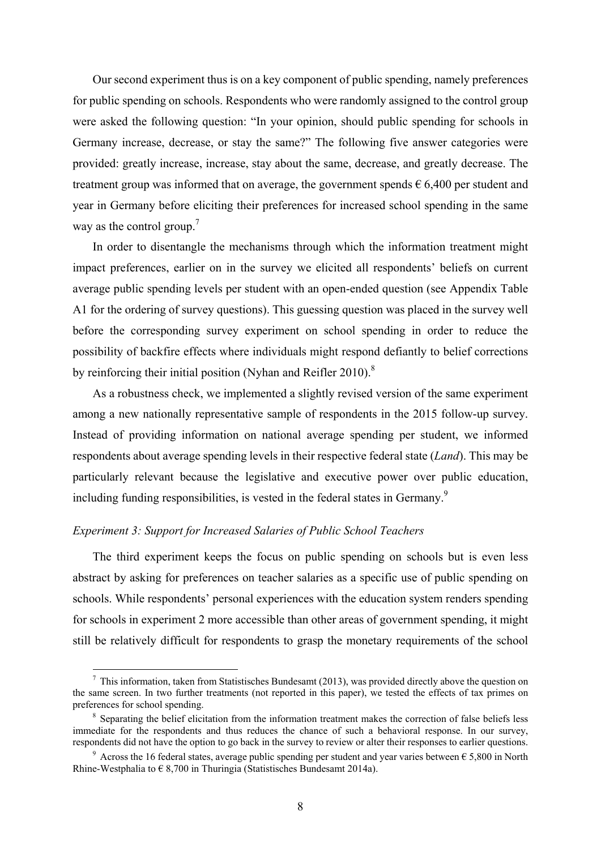Our second experiment thus is on a key component of public spending, namely preferences for public spending on schools. Respondents who were randomly assigned to the control group were asked the following question: "In your opinion, should public spending for schools in Germany increase, decrease, or stay the same?" The following five answer categories were provided: greatly increase, increase, stay about the same, decrease, and greatly decrease. The treatment group was informed that on average, the government spends  $\epsilon$  6,400 per student and year in Germany before eliciting their preferences for increased school spending in the same way as the control group.<sup>7</sup>

In order to disentangle the mechanisms through which the information treatment might impact preferences, earlier on in the survey we elicited all respondents' beliefs on current average public spending levels per student with an open-ended question (see Appendix Table A1 for the ordering of survey questions). This guessing question was placed in the survey well before the corresponding survey experiment on school spending in order to reduce the possibility of backfire effects where individuals might respond defiantly to belief corrections by reinforcing their initial position (Nyhan and Reifler 2010). $8$ 

As a robustness check, we implemented a slightly revised version of the same experiment among a new nationally representative sample of respondents in the 2015 follow-up survey. Instead of providing information on national average spending per student, we informed respondents about average spending levels in their respective federal state (*Land*). This may be particularly relevant because the legislative and executive power over public education, including funding responsibilities, is vested in the federal states in Germany.<sup>9</sup>

#### *Experiment 3: Support for Increased Salaries of Public School Teachers*

1

The third experiment keeps the focus on public spending on schools but is even less abstract by asking for preferences on teacher salaries as a specific use of public spending on schools. While respondents' personal experiences with the education system renders spending for schools in experiment 2 more accessible than other areas of government spending, it might still be relatively difficult for respondents to grasp the monetary requirements of the school

 $<sup>7</sup>$  This information, taken from Statistisches Bundesamt (2013), was provided directly above the question on</sup> the same screen. In two further treatments (not reported in this paper), we tested the effects of tax primes on preferences for school spending.

<sup>&</sup>lt;sup>8</sup> Separating the belief elicitation from the information treatment makes the correction of false beliefs less immediate for the respondents and thus reduces the chance of such a behavioral response. In our survey, respondents did not have the option to go back in the survey to review or alter their responses to earlier questions.

<sup>&</sup>lt;sup>9</sup> Across the 16 federal states, average public spending per student and year varies between  $\epsilon$  5,800 in North Rhine-Westphalia to  $\epsilon$  8,700 in Thuringia (Statistisches Bundesamt 2014a).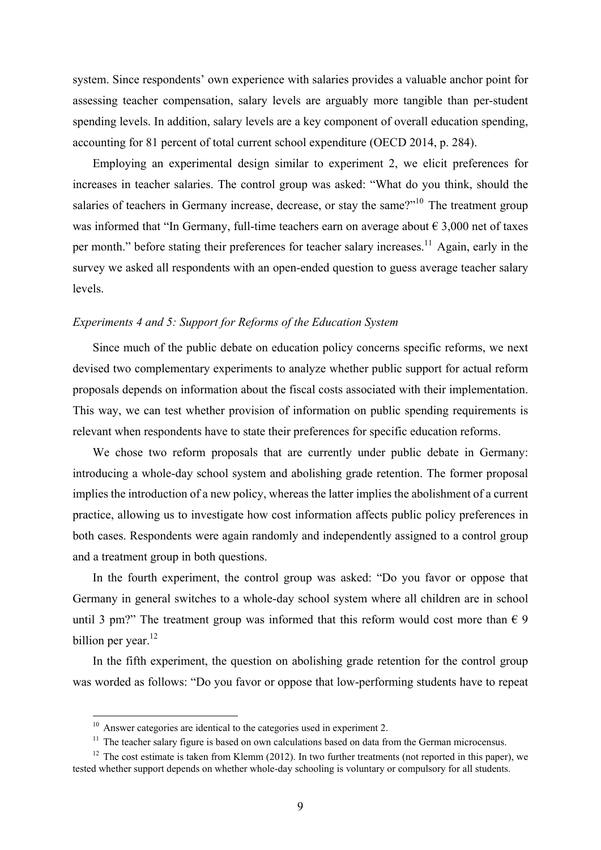system. Since respondents' own experience with salaries provides a valuable anchor point for assessing teacher compensation, salary levels are arguably more tangible than per-student spending levels. In addition, salary levels are a key component of overall education spending, accounting for 81 percent of total current school expenditure (OECD 2014, p. 284).

Employing an experimental design similar to experiment 2, we elicit preferences for increases in teacher salaries. The control group was asked: "What do you think, should the salaries of teachers in Germany increase, decrease, or stay the same? $10^{10}$  The treatment group was informed that "In Germany, full-time teachers earn on average about  $\epsilon$  3,000 net of taxes per month." before stating their preferences for teacher salary increases.<sup>11</sup> Again, early in the survey we asked all respondents with an open-ended question to guess average teacher salary levels.

#### *Experiments 4 and 5: Support for Reforms of the Education System*

Since much of the public debate on education policy concerns specific reforms, we next devised two complementary experiments to analyze whether public support for actual reform proposals depends on information about the fiscal costs associated with their implementation. This way, we can test whether provision of information on public spending requirements is relevant when respondents have to state their preferences for specific education reforms.

We chose two reform proposals that are currently under public debate in Germany: introducing a whole-day school system and abolishing grade retention. The former proposal implies the introduction of a new policy, whereas the latter implies the abolishment of a current practice, allowing us to investigate how cost information affects public policy preferences in both cases. Respondents were again randomly and independently assigned to a control group and a treatment group in both questions.

In the fourth experiment, the control group was asked: "Do you favor or oppose that Germany in general switches to a whole-day school system where all children are in school until 3 pm?" The treatment group was informed that this reform would cost more than  $\epsilon$  9 billion per year.<sup>12</sup>

In the fifth experiment, the question on abolishing grade retention for the control group was worded as follows: "Do you favor or oppose that low-performing students have to repeat

 $10$  Answer categories are identical to the categories used in experiment 2.

 $11$  The teacher salary figure is based on own calculations based on data from the German microcensus.

 $12$  The cost estimate is taken from Klemm (2012). In two further treatments (not reported in this paper), we tested whether support depends on whether whole-day schooling is voluntary or compulsory for all students.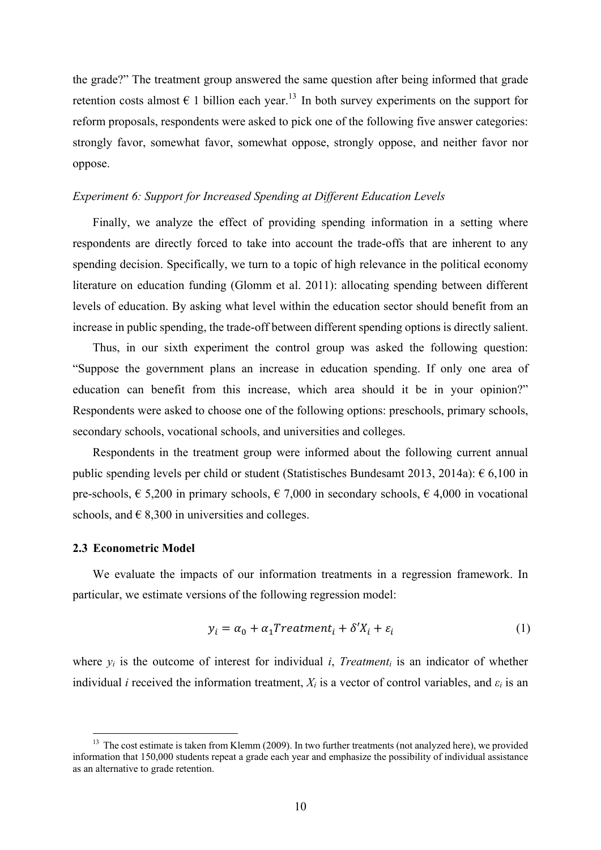the grade?" The treatment group answered the same question after being informed that grade retention costs almost  $\epsilon$  1 billion each year.<sup>13</sup> In both survey experiments on the support for reform proposals, respondents were asked to pick one of the following five answer categories: strongly favor, somewhat favor, somewhat oppose, strongly oppose, and neither favor nor oppose.

#### *Experiment 6: Support for Increased Spending at Different Education Levels*

Finally, we analyze the effect of providing spending information in a setting where respondents are directly forced to take into account the trade-offs that are inherent to any spending decision. Specifically, we turn to a topic of high relevance in the political economy literature on education funding (Glomm et al. 2011): allocating spending between different levels of education. By asking what level within the education sector should benefit from an increase in public spending, the trade-off between different spending options is directly salient.

Thus, in our sixth experiment the control group was asked the following question: "Suppose the government plans an increase in education spending. If only one area of education can benefit from this increase, which area should it be in your opinion?" Respondents were asked to choose one of the following options: preschools, primary schools, secondary schools, vocational schools, and universities and colleges.

Respondents in the treatment group were informed about the following current annual public spending levels per child or student (Statistisches Bundesamt 2013, 2014a):  $\epsilon$  6,100 in pre-schools,  $\epsilon$  5,200 in primary schools,  $\epsilon$  7,000 in secondary schools,  $\epsilon$  4,000 in vocational schools, and  $\in$  8,300 in universities and colleges.

#### **2.3 Econometric Model**

1

We evaluate the impacts of our information treatments in a regression framework. In particular, we estimate versions of the following regression model:

$$
y_i = \alpha_0 + \alpha_1 Treatment_i + \delta' X_i + \varepsilon_i \tag{1}
$$

where  $y_i$  is the outcome of interest for individual *i*, *Treatment<sub>i</sub>* is an indicator of whether individual *i* received the information treatment,  $X_i$  is a vector of control variables, and  $\varepsilon_i$  is an

<sup>&</sup>lt;sup>13</sup> The cost estimate is taken from Klemm (2009). In two further treatments (not analyzed here), we provided information that 150,000 students repeat a grade each year and emphasize the possibility of individual assistance as an alternative to grade retention.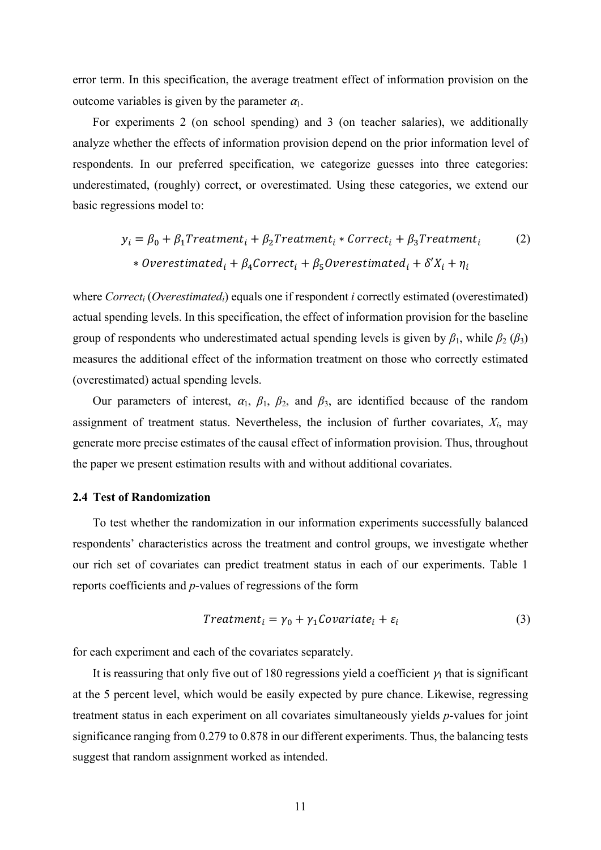error term. In this specification, the average treatment effect of information provision on the outcome variables is given by the parameter  $\alpha_1$ .

For experiments 2 (on school spending) and 3 (on teacher salaries), we additionally analyze whether the effects of information provision depend on the prior information level of respondents. In our preferred specification, we categorize guesses into three categories: underestimated, (roughly) correct, or overestimated. Using these categories, we extend our basic regressions model to:

$$
y_i = \beta_0 + \beta_1 Treatment_i + \beta_2 Treatment_i * Correct_i + \beta_3 Treatment_i
$$
 (2)  
\* Overestimated<sub>i</sub> + \beta\_4 Correct<sub>i</sub> + \beta\_5 Overestimated<sub>i</sub> + \delta'X<sub>i</sub> + \eta<sub>i</sub>

where *Correct<sub>i</sub>* (*Overestimated<sub>i</sub>*) equals one if respondent *i* correctly estimated (overestimated) actual spending levels. In this specification, the effect of information provision for the baseline group of respondents who underestimated actual spending levels is given by  $\beta_1$ , while  $\beta_2$  ( $\beta_3$ ) measures the additional effect of the information treatment on those who correctly estimated (overestimated) actual spending levels.

Our parameters of interest,  $\alpha_1$ ,  $\beta_1$ ,  $\beta_2$ , and  $\beta_3$ , are identified because of the random assignment of treatment status. Nevertheless, the inclusion of further covariates,  $X_i$ , may generate more precise estimates of the causal effect of information provision. Thus, throughout the paper we present estimation results with and without additional covariates.

#### **2.4 Test of Randomization**

To test whether the randomization in our information experiments successfully balanced respondents' characteristics across the treatment and control groups, we investigate whether our rich set of covariates can predict treatment status in each of our experiments. Table 1 reports coefficients and *p*-values of regressions of the form

$$
Treatmenti = \gamma_0 + \gamma_1 Covariatei + \varepsilon_i
$$
\n(3)

for each experiment and each of the covariates separately.

It is reassuring that only five out of 180 regressions yield a coefficient  $\gamma_1$  that is significant at the 5 percent level, which would be easily expected by pure chance. Likewise, regressing treatment status in each experiment on all covariates simultaneously yields *p*-values for joint significance ranging from 0.279 to 0.878 in our different experiments. Thus, the balancing tests suggest that random assignment worked as intended.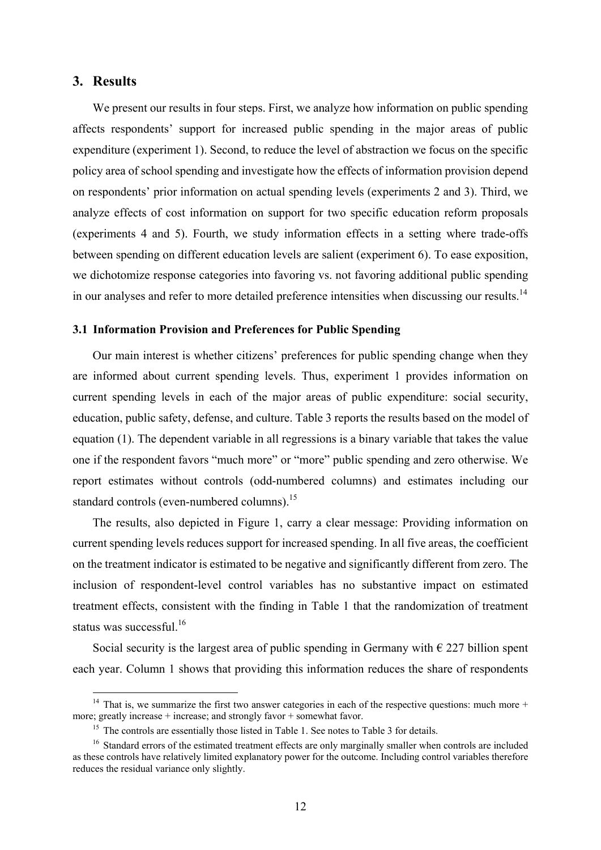#### **3. Results**

1

We present our results in four steps. First, we analyze how information on public spending affects respondents' support for increased public spending in the major areas of public expenditure (experiment 1). Second, to reduce the level of abstraction we focus on the specific policy area of school spending and investigate how the effects of information provision depend on respondents' prior information on actual spending levels (experiments 2 and 3). Third, we analyze effects of cost information on support for two specific education reform proposals (experiments 4 and 5). Fourth, we study information effects in a setting where trade-offs between spending on different education levels are salient (experiment 6). To ease exposition, we dichotomize response categories into favoring vs. not favoring additional public spending in our analyses and refer to more detailed preference intensities when discussing our results.<sup>14</sup>

#### **3.1 Information Provision and Preferences for Public Spending**

Our main interest is whether citizens' preferences for public spending change when they are informed about current spending levels. Thus, experiment 1 provides information on current spending levels in each of the major areas of public expenditure: social security, education, public safety, defense, and culture. Table 3 reports the results based on the model of equation (1). The dependent variable in all regressions is a binary variable that takes the value one if the respondent favors "much more" or "more" public spending and zero otherwise. We report estimates without controls (odd-numbered columns) and estimates including our standard controls (even-numbered columns).<sup>15</sup>

The results, also depicted in Figure 1, carry a clear message: Providing information on current spending levels reduces support for increased spending. In all five areas, the coefficient on the treatment indicator is estimated to be negative and significantly different from zero. The inclusion of respondent-level control variables has no substantive impact on estimated treatment effects, consistent with the finding in Table 1 that the randomization of treatment status was successful.<sup>16</sup>

Social security is the largest area of public spending in Germany with  $\epsilon$  227 billion spent each year. Column 1 shows that providing this information reduces the share of respondents

<sup>&</sup>lt;sup>14</sup> That is, we summarize the first two answer categories in each of the respective questions: much more + more; greatly increase  $+$  increase; and strongly favor  $+$  somewhat favor.

<sup>&</sup>lt;sup>15</sup> The controls are essentially those listed in Table 1. See notes to Table 3 for details.

<sup>&</sup>lt;sup>16</sup> Standard errors of the estimated treatment effects are only marginally smaller when controls are included as these controls have relatively limited explanatory power for the outcome. Including control variables therefore reduces the residual variance only slightly.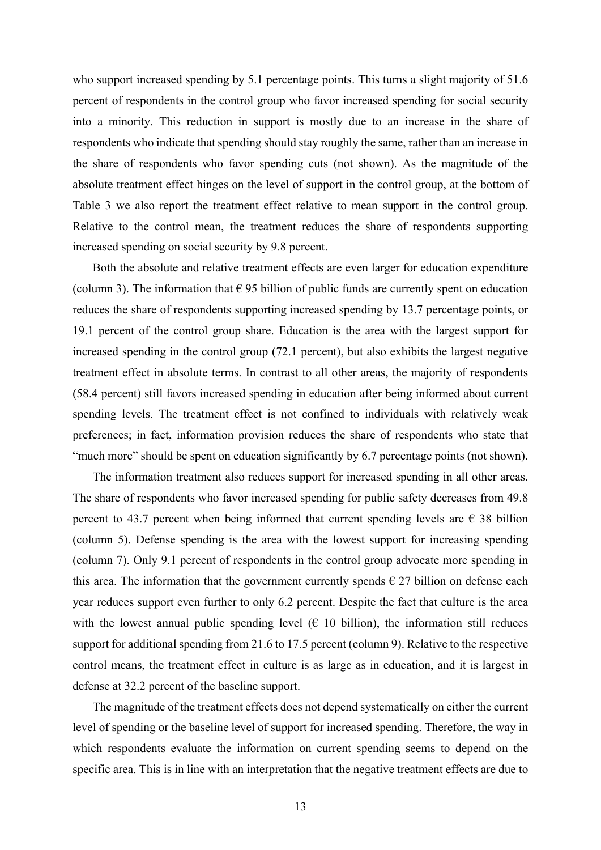who support increased spending by 5.1 percentage points. This turns a slight majority of 51.6 percent of respondents in the control group who favor increased spending for social security into a minority. This reduction in support is mostly due to an increase in the share of respondents who indicate that spending should stay roughly the same, rather than an increase in the share of respondents who favor spending cuts (not shown). As the magnitude of the absolute treatment effect hinges on the level of support in the control group, at the bottom of Table 3 we also report the treatment effect relative to mean support in the control group. Relative to the control mean, the treatment reduces the share of respondents supporting increased spending on social security by 9.8 percent.

Both the absolute and relative treatment effects are even larger for education expenditure (column 3). The information that  $\epsilon$  95 billion of public funds are currently spent on education reduces the share of respondents supporting increased spending by 13.7 percentage points, or 19.1 percent of the control group share. Education is the area with the largest support for increased spending in the control group (72.1 percent), but also exhibits the largest negative treatment effect in absolute terms. In contrast to all other areas, the majority of respondents (58.4 percent) still favors increased spending in education after being informed about current spending levels. The treatment effect is not confined to individuals with relatively weak preferences; in fact, information provision reduces the share of respondents who state that "much more" should be spent on education significantly by 6.7 percentage points (not shown).

The information treatment also reduces support for increased spending in all other areas. The share of respondents who favor increased spending for public safety decreases from 49.8 percent to 43.7 percent when being informed that current spending levels are  $\epsilon$  38 billion (column 5). Defense spending is the area with the lowest support for increasing spending (column 7). Only 9.1 percent of respondents in the control group advocate more spending in this area. The information that the government currently spends  $\epsilon$  27 billion on defense each year reduces support even further to only 6.2 percent. Despite the fact that culture is the area with the lowest annual public spending level  $(E 10$  billion), the information still reduces support for additional spending from 21.6 to 17.5 percent (column 9). Relative to the respective control means, the treatment effect in culture is as large as in education, and it is largest in defense at 32.2 percent of the baseline support.

The magnitude of the treatment effects does not depend systematically on either the current level of spending or the baseline level of support for increased spending. Therefore, the way in which respondents evaluate the information on current spending seems to depend on the specific area. This is in line with an interpretation that the negative treatment effects are due to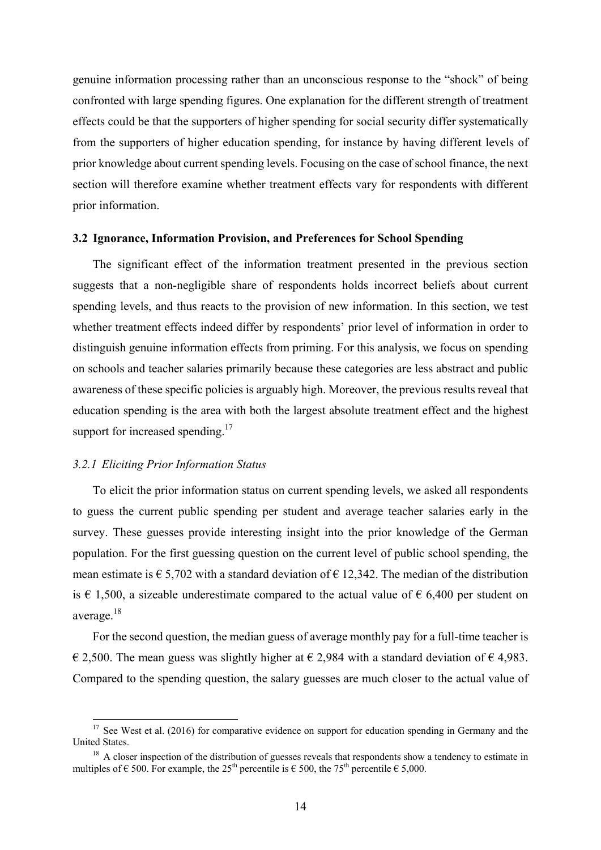genuine information processing rather than an unconscious response to the "shock" of being confronted with large spending figures. One explanation for the different strength of treatment effects could be that the supporters of higher spending for social security differ systematically from the supporters of higher education spending, for instance by having different levels of prior knowledge about current spending levels. Focusing on the case of school finance, the next section will therefore examine whether treatment effects vary for respondents with different prior information.

#### **3.2 Ignorance, Information Provision, and Preferences for School Spending**

The significant effect of the information treatment presented in the previous section suggests that a non-negligible share of respondents holds incorrect beliefs about current spending levels, and thus reacts to the provision of new information. In this section, we test whether treatment effects indeed differ by respondents' prior level of information in order to distinguish genuine information effects from priming. For this analysis, we focus on spending on schools and teacher salaries primarily because these categories are less abstract and public awareness of these specific policies is arguably high. Moreover, the previous results reveal that education spending is the area with both the largest absolute treatment effect and the highest support for increased spending.<sup>17</sup>

#### *3.2.1 Eliciting Prior Information Status*

<u>.</u>

To elicit the prior information status on current spending levels, we asked all respondents to guess the current public spending per student and average teacher salaries early in the survey. These guesses provide interesting insight into the prior knowledge of the German population. For the first guessing question on the current level of public school spending, the mean estimate is  $\epsilon$  5,702 with a standard deviation of  $\epsilon$  12,342. The median of the distribution is € 1,500, a sizeable underestimate compared to the actual value of  $\epsilon$  6,400 per student on average.18

For the second question, the median guess of average monthly pay for a full-time teacher is € 2,500. The mean guess was slightly higher at  $\epsilon$  2,984 with a standard deviation of  $\epsilon$  4,983. Compared to the spending question, the salary guesses are much closer to the actual value of

 $17$  See West et al. (2016) for comparative evidence on support for education spending in Germany and the United States.

<sup>&</sup>lt;sup>18</sup> A closer inspection of the distribution of guesses reveals that respondents show a tendency to estimate in multiples of  $\epsilon$  500. For example, the 25<sup>th</sup> percentile is  $\epsilon$  500, the 75<sup>th</sup> percentile  $\epsilon$  5,000.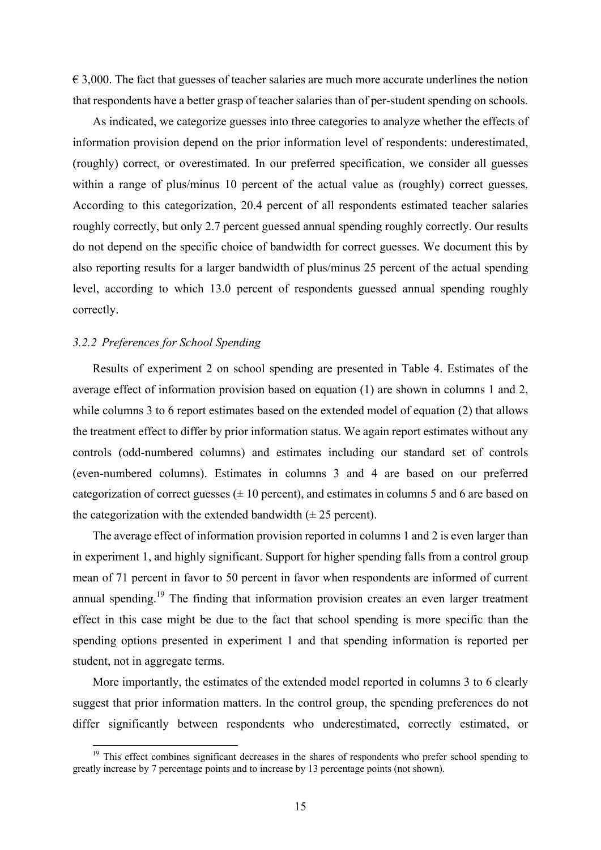$\epsilon$  3,000. The fact that guesses of teacher salaries are much more accurate underlines the notion that respondents have a better grasp of teacher salaries than of per-student spending on schools.

As indicated, we categorize guesses into three categories to analyze whether the effects of information provision depend on the prior information level of respondents: underestimated, (roughly) correct, or overestimated. In our preferred specification, we consider all guesses within a range of plus/minus 10 percent of the actual value as (roughly) correct guesses. According to this categorization, 20.4 percent of all respondents estimated teacher salaries roughly correctly, but only 2.7 percent guessed annual spending roughly correctly. Our results do not depend on the specific choice of bandwidth for correct guesses. We document this by also reporting results for a larger bandwidth of plus/minus 25 percent of the actual spending level, according to which 13.0 percent of respondents guessed annual spending roughly correctly.

#### *3.2.2 Preferences for School Spending*

1

Results of experiment 2 on school spending are presented in Table 4. Estimates of the average effect of information provision based on equation (1) are shown in columns 1 and 2, while columns 3 to 6 report estimates based on the extended model of equation (2) that allows the treatment effect to differ by prior information status. We again report estimates without any controls (odd-numbered columns) and estimates including our standard set of controls (even-numbered columns). Estimates in columns 3 and 4 are based on our preferred categorization of correct guesses  $(± 10$  percent), and estimates in columns 5 and 6 are based on the categorization with the extended bandwidth  $(\pm 25$  percent).

The average effect of information provision reported in columns 1 and 2 is even larger than in experiment 1, and highly significant. Support for higher spending falls from a control group mean of 71 percent in favor to 50 percent in favor when respondents are informed of current annual spending.<sup>19</sup> The finding that information provision creates an even larger treatment effect in this case might be due to the fact that school spending is more specific than the spending options presented in experiment 1 and that spending information is reported per student, not in aggregate terms.

More importantly, the estimates of the extended model reported in columns 3 to 6 clearly suggest that prior information matters. In the control group, the spending preferences do not differ significantly between respondents who underestimated, correctly estimated, or

<sup>&</sup>lt;sup>19</sup> This effect combines significant decreases in the shares of respondents who prefer school spending to greatly increase by 7 percentage points and to increase by 13 percentage points (not shown).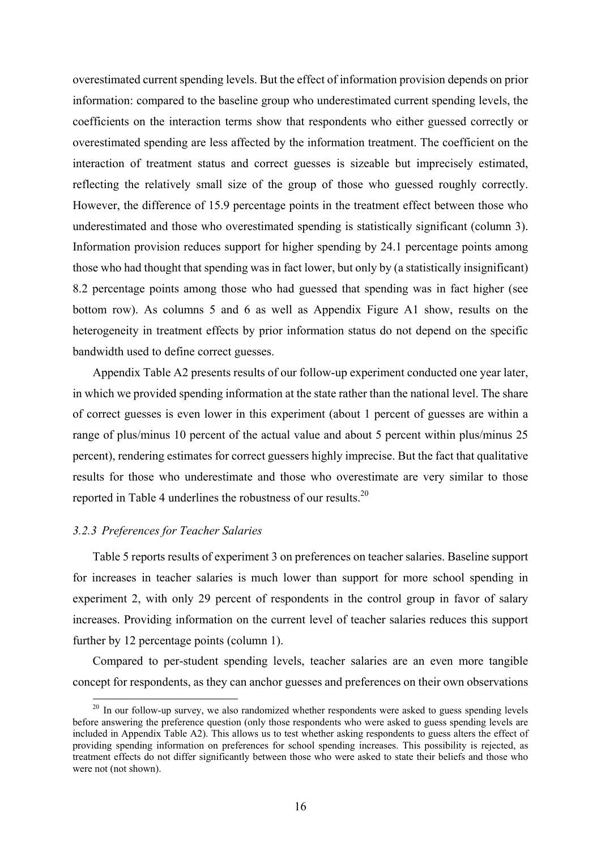overestimated current spending levels. But the effect of information provision depends on prior information: compared to the baseline group who underestimated current spending levels, the coefficients on the interaction terms show that respondents who either guessed correctly or overestimated spending are less affected by the information treatment. The coefficient on the interaction of treatment status and correct guesses is sizeable but imprecisely estimated, reflecting the relatively small size of the group of those who guessed roughly correctly. However, the difference of 15.9 percentage points in the treatment effect between those who underestimated and those who overestimated spending is statistically significant (column 3). Information provision reduces support for higher spending by 24.1 percentage points among those who had thought that spending was in fact lower, but only by (a statistically insignificant) 8.2 percentage points among those who had guessed that spending was in fact higher (see bottom row). As columns 5 and 6 as well as Appendix Figure A1 show, results on the heterogeneity in treatment effects by prior information status do not depend on the specific bandwidth used to define correct guesses.

Appendix Table A2 presents results of our follow-up experiment conducted one year later, in which we provided spending information at the state rather than the national level. The share of correct guesses is even lower in this experiment (about 1 percent of guesses are within a range of plus/minus 10 percent of the actual value and about 5 percent within plus/minus 25 percent), rendering estimates for correct guessers highly imprecise. But the fact that qualitative results for those who underestimate and those who overestimate are very similar to those reported in Table 4 underlines the robustness of our results.20

#### *3.2.3 Preferences for Teacher Salaries*

1

Table 5 reports results of experiment 3 on preferences on teacher salaries. Baseline support for increases in teacher salaries is much lower than support for more school spending in experiment 2, with only 29 percent of respondents in the control group in favor of salary increases. Providing information on the current level of teacher salaries reduces this support further by 12 percentage points (column 1).

Compared to per-student spending levels, teacher salaries are an even more tangible concept for respondents, as they can anchor guesses and preferences on their own observations

 $20$  In our follow-up survey, we also randomized whether respondents were asked to guess spending levels before answering the preference question (only those respondents who were asked to guess spending levels are included in Appendix Table A2). This allows us to test whether asking respondents to guess alters the effect of providing spending information on preferences for school spending increases. This possibility is rejected, as treatment effects do not differ significantly between those who were asked to state their beliefs and those who were not (not shown).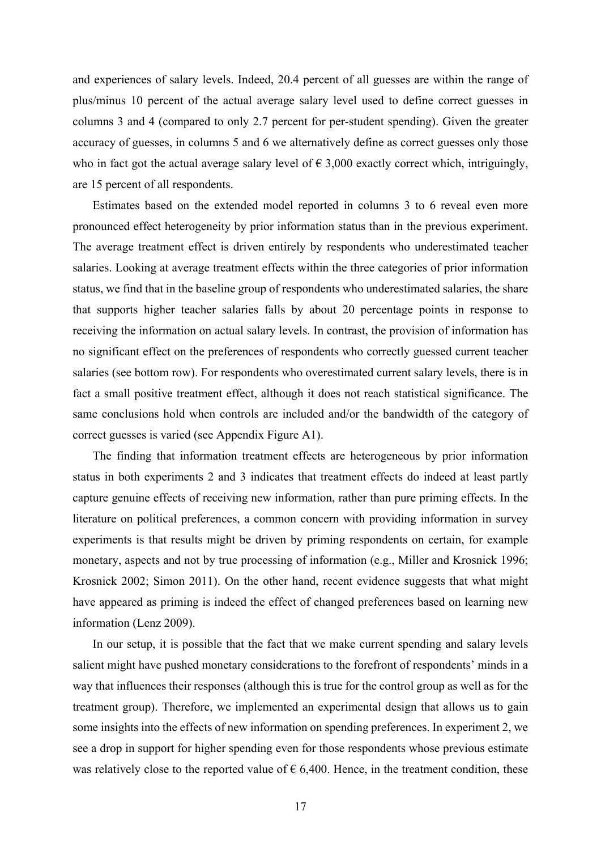and experiences of salary levels. Indeed, 20.4 percent of all guesses are within the range of plus/minus 10 percent of the actual average salary level used to define correct guesses in columns 3 and 4 (compared to only 2.7 percent for per-student spending). Given the greater accuracy of guesses, in columns 5 and 6 we alternatively define as correct guesses only those who in fact got the actual average salary level of  $\epsilon$  3,000 exactly correct which, intriguingly, are 15 percent of all respondents.

Estimates based on the extended model reported in columns 3 to 6 reveal even more pronounced effect heterogeneity by prior information status than in the previous experiment. The average treatment effect is driven entirely by respondents who underestimated teacher salaries. Looking at average treatment effects within the three categories of prior information status, we find that in the baseline group of respondents who underestimated salaries, the share that supports higher teacher salaries falls by about 20 percentage points in response to receiving the information on actual salary levels. In contrast, the provision of information has no significant effect on the preferences of respondents who correctly guessed current teacher salaries (see bottom row). For respondents who overestimated current salary levels, there is in fact a small positive treatment effect, although it does not reach statistical significance. The same conclusions hold when controls are included and/or the bandwidth of the category of correct guesses is varied (see Appendix Figure A1).

The finding that information treatment effects are heterogeneous by prior information status in both experiments 2 and 3 indicates that treatment effects do indeed at least partly capture genuine effects of receiving new information, rather than pure priming effects. In the literature on political preferences, a common concern with providing information in survey experiments is that results might be driven by priming respondents on certain, for example monetary, aspects and not by true processing of information (e.g., Miller and Krosnick 1996; Krosnick 2002; Simon 2011). On the other hand, recent evidence suggests that what might have appeared as priming is indeed the effect of changed preferences based on learning new information (Lenz 2009).

In our setup, it is possible that the fact that we make current spending and salary levels salient might have pushed monetary considerations to the forefront of respondents' minds in a way that influences their responses (although this is true for the control group as well as for the treatment group). Therefore, we implemented an experimental design that allows us to gain some insights into the effects of new information on spending preferences. In experiment 2, we see a drop in support for higher spending even for those respondents whose previous estimate was relatively close to the reported value of  $\epsilon$  6,400. Hence, in the treatment condition, these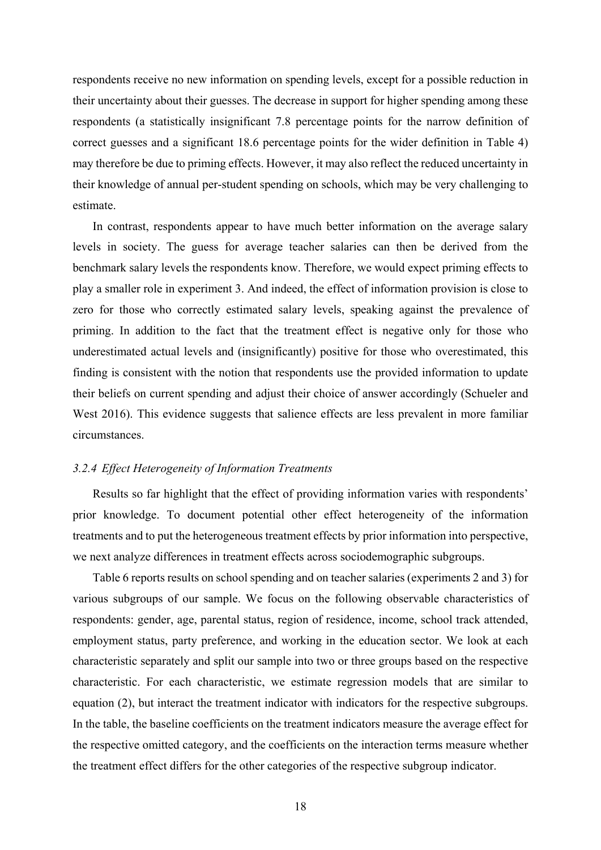respondents receive no new information on spending levels, except for a possible reduction in their uncertainty about their guesses. The decrease in support for higher spending among these respondents (a statistically insignificant 7.8 percentage points for the narrow definition of correct guesses and a significant 18.6 percentage points for the wider definition in Table 4) may therefore be due to priming effects. However, it may also reflect the reduced uncertainty in their knowledge of annual per-student spending on schools, which may be very challenging to estimate.

In contrast, respondents appear to have much better information on the average salary levels in society. The guess for average teacher salaries can then be derived from the benchmark salary levels the respondents know. Therefore, we would expect priming effects to play a smaller role in experiment 3. And indeed, the effect of information provision is close to zero for those who correctly estimated salary levels, speaking against the prevalence of priming. In addition to the fact that the treatment effect is negative only for those who underestimated actual levels and (insignificantly) positive for those who overestimated, this finding is consistent with the notion that respondents use the provided information to update their beliefs on current spending and adjust their choice of answer accordingly (Schueler and West 2016). This evidence suggests that salience effects are less prevalent in more familiar circumstances.

#### *3.2.4 Effect Heterogeneity of Information Treatments*

Results so far highlight that the effect of providing information varies with respondents' prior knowledge. To document potential other effect heterogeneity of the information treatments and to put the heterogeneous treatment effects by prior information into perspective, we next analyze differences in treatment effects across sociodemographic subgroups.

Table 6 reports results on school spending and on teacher salaries (experiments 2 and 3) for various subgroups of our sample. We focus on the following observable characteristics of respondents: gender, age, parental status, region of residence, income, school track attended, employment status, party preference, and working in the education sector. We look at each characteristic separately and split our sample into two or three groups based on the respective characteristic. For each characteristic, we estimate regression models that are similar to equation (2), but interact the treatment indicator with indicators for the respective subgroups. In the table, the baseline coefficients on the treatment indicators measure the average effect for the respective omitted category, and the coefficients on the interaction terms measure whether the treatment effect differs for the other categories of the respective subgroup indicator.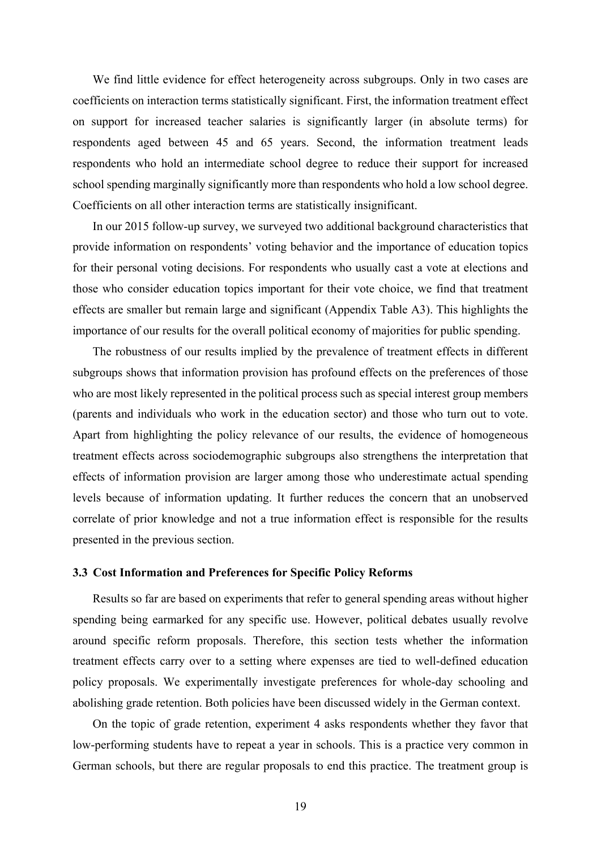We find little evidence for effect heterogeneity across subgroups. Only in two cases are coefficients on interaction terms statistically significant. First, the information treatment effect on support for increased teacher salaries is significantly larger (in absolute terms) for respondents aged between 45 and 65 years. Second, the information treatment leads respondents who hold an intermediate school degree to reduce their support for increased school spending marginally significantly more than respondents who hold a low school degree. Coefficients on all other interaction terms are statistically insignificant.

In our 2015 follow-up survey, we surveyed two additional background characteristics that provide information on respondents' voting behavior and the importance of education topics for their personal voting decisions. For respondents who usually cast a vote at elections and those who consider education topics important for their vote choice, we find that treatment effects are smaller but remain large and significant (Appendix Table A3). This highlights the importance of our results for the overall political economy of majorities for public spending.

The robustness of our results implied by the prevalence of treatment effects in different subgroups shows that information provision has profound effects on the preferences of those who are most likely represented in the political process such as special interest group members (parents and individuals who work in the education sector) and those who turn out to vote. Apart from highlighting the policy relevance of our results, the evidence of homogeneous treatment effects across sociodemographic subgroups also strengthens the interpretation that effects of information provision are larger among those who underestimate actual spending levels because of information updating. It further reduces the concern that an unobserved correlate of prior knowledge and not a true information effect is responsible for the results presented in the previous section.

#### **3.3 Cost Information and Preferences for Specific Policy Reforms**

Results so far are based on experiments that refer to general spending areas without higher spending being earmarked for any specific use. However, political debates usually revolve around specific reform proposals. Therefore, this section tests whether the information treatment effects carry over to a setting where expenses are tied to well-defined education policy proposals. We experimentally investigate preferences for whole-day schooling and abolishing grade retention. Both policies have been discussed widely in the German context.

On the topic of grade retention, experiment 4 asks respondents whether they favor that low-performing students have to repeat a year in schools. This is a practice very common in German schools, but there are regular proposals to end this practice. The treatment group is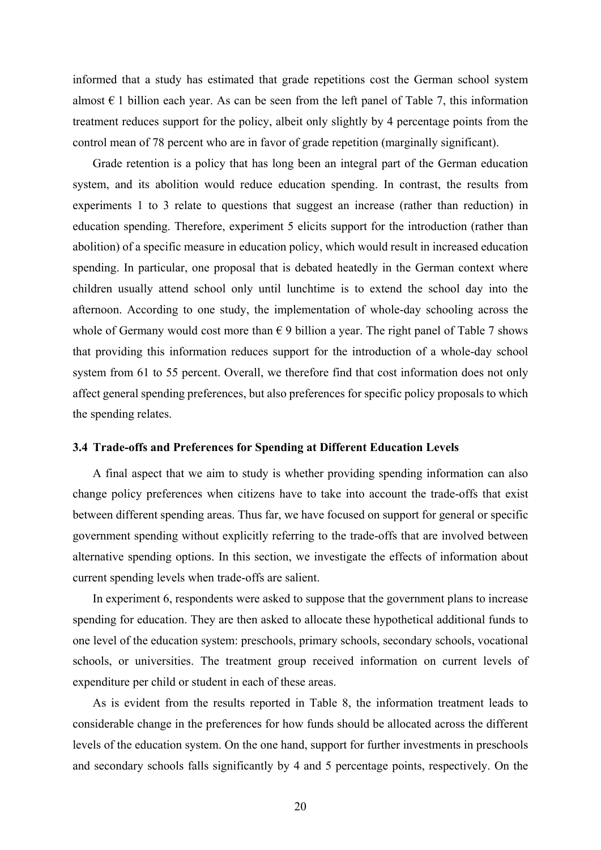informed that a study has estimated that grade repetitions cost the German school system almost  $\epsilon$  1 billion each year. As can be seen from the left panel of Table 7, this information treatment reduces support for the policy, albeit only slightly by 4 percentage points from the control mean of 78 percent who are in favor of grade repetition (marginally significant).

Grade retention is a policy that has long been an integral part of the German education system, and its abolition would reduce education spending. In contrast, the results from experiments 1 to 3 relate to questions that suggest an increase (rather than reduction) in education spending. Therefore, experiment 5 elicits support for the introduction (rather than abolition) of a specific measure in education policy, which would result in increased education spending. In particular, one proposal that is debated heatedly in the German context where children usually attend school only until lunchtime is to extend the school day into the afternoon. According to one study, the implementation of whole-day schooling across the whole of Germany would cost more than  $\epsilon$  9 billion a year. The right panel of Table 7 shows that providing this information reduces support for the introduction of a whole-day school system from 61 to 55 percent. Overall, we therefore find that cost information does not only affect general spending preferences, but also preferences for specific policy proposals to which the spending relates.

#### **3.4 Trade-offs and Preferences for Spending at Different Education Levels**

A final aspect that we aim to study is whether providing spending information can also change policy preferences when citizens have to take into account the trade-offs that exist between different spending areas. Thus far, we have focused on support for general or specific government spending without explicitly referring to the trade-offs that are involved between alternative spending options. In this section, we investigate the effects of information about current spending levels when trade-offs are salient.

In experiment 6, respondents were asked to suppose that the government plans to increase spending for education. They are then asked to allocate these hypothetical additional funds to one level of the education system: preschools, primary schools, secondary schools, vocational schools, or universities. The treatment group received information on current levels of expenditure per child or student in each of these areas.

As is evident from the results reported in Table 8, the information treatment leads to considerable change in the preferences for how funds should be allocated across the different levels of the education system. On the one hand, support for further investments in preschools and secondary schools falls significantly by 4 and 5 percentage points, respectively. On the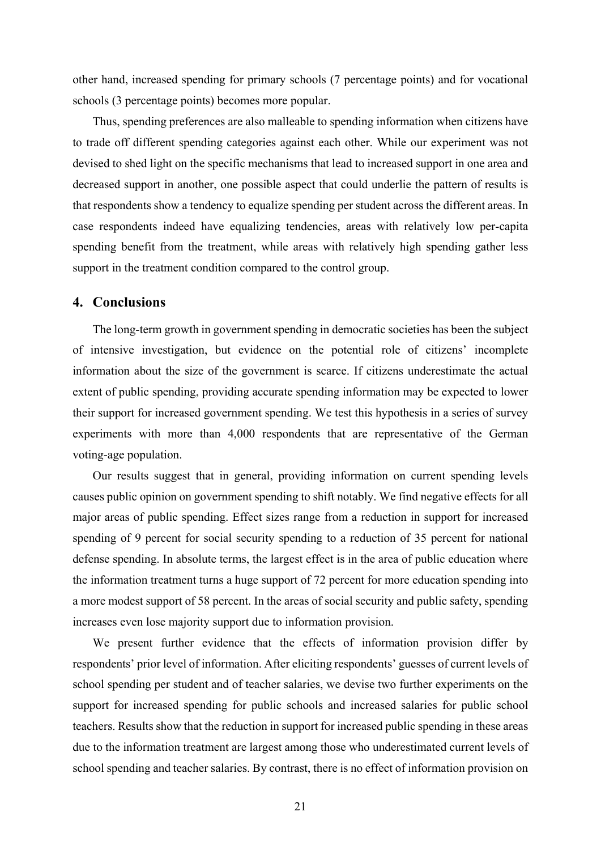other hand, increased spending for primary schools (7 percentage points) and for vocational schools (3 percentage points) becomes more popular.

Thus, spending preferences are also malleable to spending information when citizens have to trade off different spending categories against each other. While our experiment was not devised to shed light on the specific mechanisms that lead to increased support in one area and decreased support in another, one possible aspect that could underlie the pattern of results is that respondents show a tendency to equalize spending per student across the different areas. In case respondents indeed have equalizing tendencies, areas with relatively low per-capita spending benefit from the treatment, while areas with relatively high spending gather less support in the treatment condition compared to the control group.

#### **4. Conclusions**

The long-term growth in government spending in democratic societies has been the subject of intensive investigation, but evidence on the potential role of citizens' incomplete information about the size of the government is scarce. If citizens underestimate the actual extent of public spending, providing accurate spending information may be expected to lower their support for increased government spending. We test this hypothesis in a series of survey experiments with more than 4,000 respondents that are representative of the German voting-age population.

Our results suggest that in general, providing information on current spending levels causes public opinion on government spending to shift notably. We find negative effects for all major areas of public spending. Effect sizes range from a reduction in support for increased spending of 9 percent for social security spending to a reduction of 35 percent for national defense spending. In absolute terms, the largest effect is in the area of public education where the information treatment turns a huge support of 72 percent for more education spending into a more modest support of 58 percent. In the areas of social security and public safety, spending increases even lose majority support due to information provision.

We present further evidence that the effects of information provision differ by respondents' prior level of information. After eliciting respondents' guesses of current levels of school spending per student and of teacher salaries, we devise two further experiments on the support for increased spending for public schools and increased salaries for public school teachers. Results show that the reduction in support for increased public spending in these areas due to the information treatment are largest among those who underestimated current levels of school spending and teacher salaries. By contrast, there is no effect of information provision on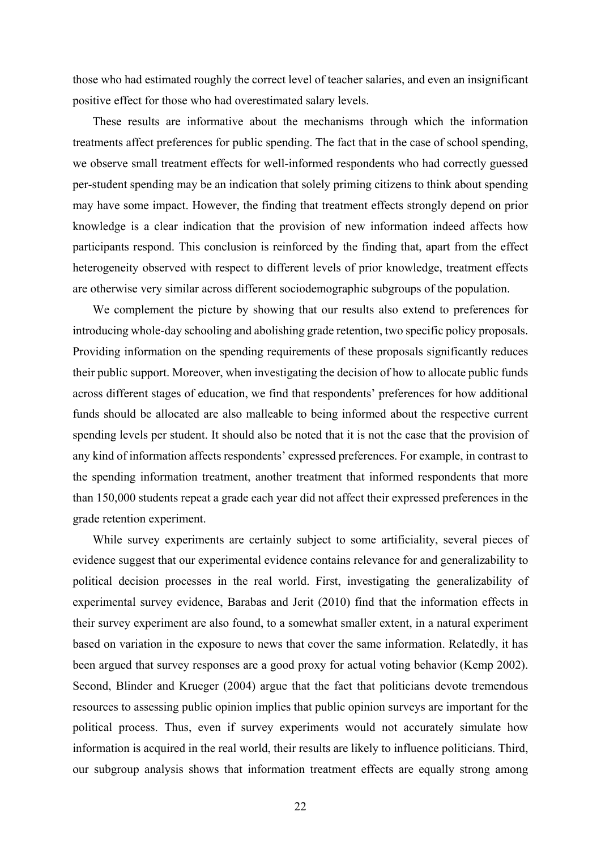those who had estimated roughly the correct level of teacher salaries, and even an insignificant positive effect for those who had overestimated salary levels.

These results are informative about the mechanisms through which the information treatments affect preferences for public spending. The fact that in the case of school spending, we observe small treatment effects for well-informed respondents who had correctly guessed per-student spending may be an indication that solely priming citizens to think about spending may have some impact. However, the finding that treatment effects strongly depend on prior knowledge is a clear indication that the provision of new information indeed affects how participants respond. This conclusion is reinforced by the finding that, apart from the effect heterogeneity observed with respect to different levels of prior knowledge, treatment effects are otherwise very similar across different sociodemographic subgroups of the population.

We complement the picture by showing that our results also extend to preferences for introducing whole-day schooling and abolishing grade retention, two specific policy proposals. Providing information on the spending requirements of these proposals significantly reduces their public support. Moreover, when investigating the decision of how to allocate public funds across different stages of education, we find that respondents' preferences for how additional funds should be allocated are also malleable to being informed about the respective current spending levels per student. It should also be noted that it is not the case that the provision of any kind of information affects respondents' expressed preferences. For example, in contrast to the spending information treatment, another treatment that informed respondents that more than 150,000 students repeat a grade each year did not affect their expressed preferences in the grade retention experiment.

While survey experiments are certainly subject to some artificiality, several pieces of evidence suggest that our experimental evidence contains relevance for and generalizability to political decision processes in the real world. First, investigating the generalizability of experimental survey evidence, Barabas and Jerit (2010) find that the information effects in their survey experiment are also found, to a somewhat smaller extent, in a natural experiment based on variation in the exposure to news that cover the same information. Relatedly, it has been argued that survey responses are a good proxy for actual voting behavior (Kemp 2002). Second, Blinder and Krueger (2004) argue that the fact that politicians devote tremendous resources to assessing public opinion implies that public opinion surveys are important for the political process. Thus, even if survey experiments would not accurately simulate how information is acquired in the real world, their results are likely to influence politicians. Third, our subgroup analysis shows that information treatment effects are equally strong among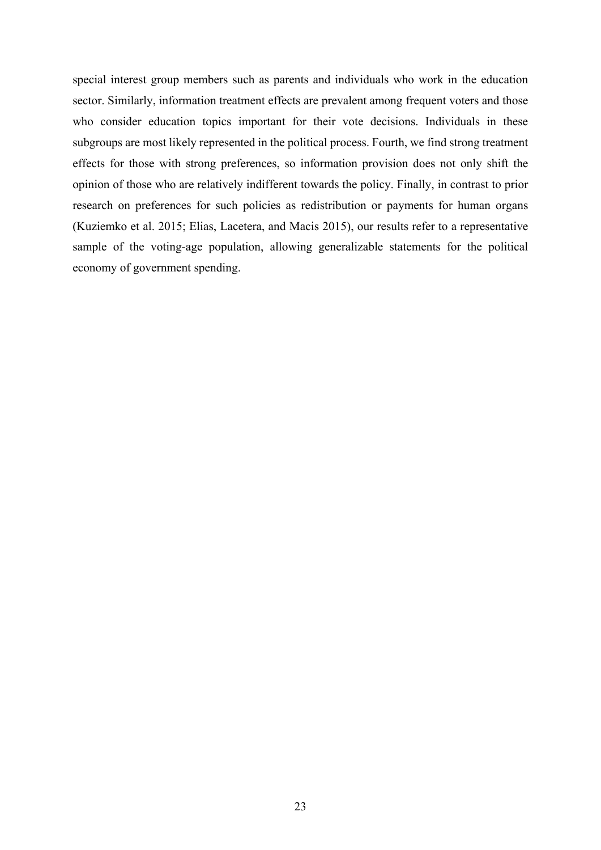special interest group members such as parents and individuals who work in the education sector. Similarly, information treatment effects are prevalent among frequent voters and those who consider education topics important for their vote decisions. Individuals in these subgroups are most likely represented in the political process. Fourth, we find strong treatment effects for those with strong preferences, so information provision does not only shift the opinion of those who are relatively indifferent towards the policy. Finally, in contrast to prior research on preferences for such policies as redistribution or payments for human organs (Kuziemko et al. 2015; Elias, Lacetera, and Macis 2015), our results refer to a representative sample of the voting-age population, allowing generalizable statements for the political economy of government spending.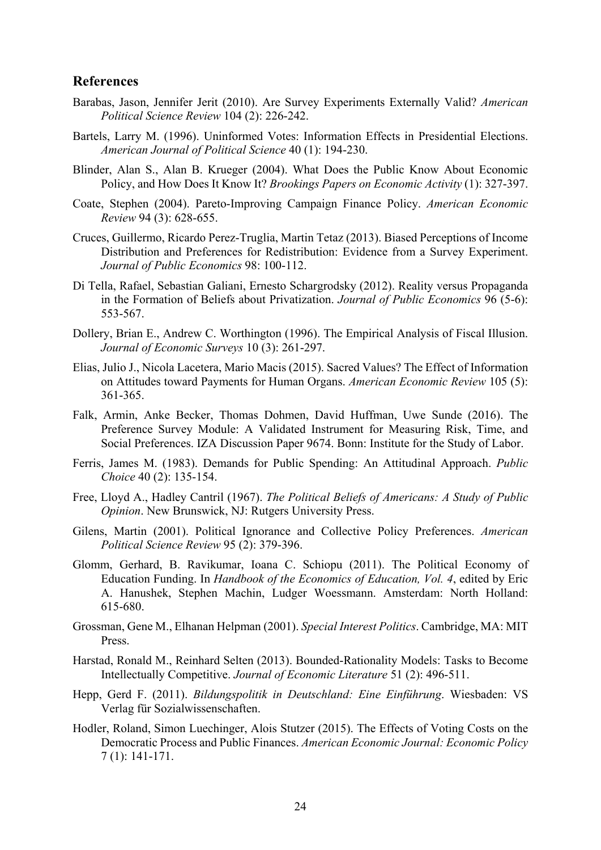#### **References**

- Barabas, Jason, Jennifer Jerit (2010). Are Survey Experiments Externally Valid? *American Political Science Review* 104 (2): 226-242.
- Bartels, Larry M. (1996). Uninformed Votes: Information Effects in Presidential Elections. *American Journal of Political Science* 40 (1): 194-230.
- Blinder, Alan S., Alan B. Krueger (2004). What Does the Public Know About Economic Policy, and How Does It Know It? *Brookings Papers on Economic Activity* (1): 327-397.
- Coate, Stephen (2004). Pareto-Improving Campaign Finance Policy. *American Economic Review* 94 (3): 628-655.
- Cruces, Guillermo, Ricardo Perez-Truglia, Martin Tetaz (2013). Biased Perceptions of Income Distribution and Preferences for Redistribution: Evidence from a Survey Experiment. *Journal of Public Economics* 98: 100-112.
- Di Tella, Rafael, Sebastian Galiani, Ernesto Schargrodsky (2012). Reality versus Propaganda in the Formation of Beliefs about Privatization. *Journal of Public Economics* 96 (5-6): 553-567.
- Dollery, Brian E., Andrew C. Worthington (1996). The Empirical Analysis of Fiscal Illusion. *Journal of Economic Surveys* 10 (3): 261-297.
- Elias, Julio J., Nicola Lacetera, Mario Macis (2015). Sacred Values? The Effect of Information on Attitudes toward Payments for Human Organs. *American Economic Review* 105 (5): 361-365.
- Falk, Armin, Anke Becker, Thomas Dohmen, David Huffman, Uwe Sunde (2016). The Preference Survey Module: A Validated Instrument for Measuring Risk, Time, and Social Preferences. IZA Discussion Paper 9674. Bonn: Institute for the Study of Labor.
- Ferris, James M. (1983). Demands for Public Spending: An Attitudinal Approach. *Public Choice* 40 (2): 135-154.
- Free, Lloyd A., Hadley Cantril (1967). *The Political Beliefs of Americans: A Study of Public Opinion*. New Brunswick, NJ: Rutgers University Press.
- Gilens, Martin (2001). Political Ignorance and Collective Policy Preferences. *American Political Science Review* 95 (2): 379-396.
- Glomm, Gerhard, B. Ravikumar, Ioana C. Schiopu (2011). The Political Economy of Education Funding. In *Handbook of the Economics of Education, Vol. 4*, edited by Eric A. Hanushek, Stephen Machin, Ludger Woessmann. Amsterdam: North Holland: 615-680.
- Grossman, Gene M., Elhanan Helpman (2001). *Special Interest Politics*. Cambridge, MA: MIT Press.
- Harstad, Ronald M., Reinhard Selten (2013). Bounded-Rationality Models: Tasks to Become Intellectually Competitive. *Journal of Economic Literature* 51 (2): 496-511.
- Hepp, Gerd F. (2011). *Bildungspolitik in Deutschland: Eine Einführung*. Wiesbaden: VS Verlag für Sozialwissenschaften.
- Hodler, Roland, Simon Luechinger, Alois Stutzer (2015). The Effects of Voting Costs on the Democratic Process and Public Finances. *American Economic Journal: Economic Policy* 7 (1): 141-171.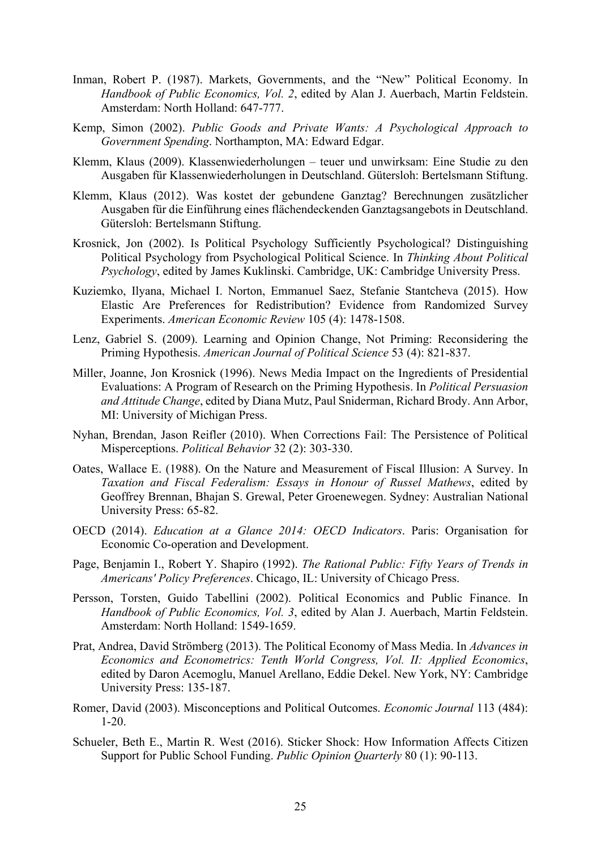- Inman, Robert P. (1987). Markets, Governments, and the "New" Political Economy. In *Handbook of Public Economics, Vol. 2*, edited by Alan J. Auerbach, Martin Feldstein. Amsterdam: North Holland: 647-777.
- Kemp, Simon (2002). *Public Goods and Private Wants: A Psychological Approach to Government Spending*. Northampton, MA: Edward Edgar.
- Klemm, Klaus (2009). Klassenwiederholungen teuer und unwirksam: Eine Studie zu den Ausgaben für Klassenwiederholungen in Deutschland. Gütersloh: Bertelsmann Stiftung.
- Klemm, Klaus (2012). Was kostet der gebundene Ganztag? Berechnungen zusätzlicher Ausgaben für die Einführung eines flächendeckenden Ganztagsangebots in Deutschland. Gütersloh: Bertelsmann Stiftung.
- Krosnick, Jon (2002). Is Political Psychology Sufficiently Psychological? Distinguishing Political Psychology from Psychological Political Science. In *Thinking About Political Psychology*, edited by James Kuklinski. Cambridge, UK: Cambridge University Press.
- Kuziemko, Ilyana, Michael I. Norton, Emmanuel Saez, Stefanie Stantcheva (2015). How Elastic Are Preferences for Redistribution? Evidence from Randomized Survey Experiments. *American Economic Review* 105 (4): 1478-1508.
- Lenz, Gabriel S. (2009). Learning and Opinion Change, Not Priming: Reconsidering the Priming Hypothesis. *American Journal of Political Science* 53 (4): 821-837.
- Miller, Joanne, Jon Krosnick (1996). News Media Impact on the Ingredients of Presidential Evaluations: A Program of Research on the Priming Hypothesis. In *Political Persuasion and Attitude Change*, edited by Diana Mutz, Paul Sniderman, Richard Brody. Ann Arbor, MI: University of Michigan Press.
- Nyhan, Brendan, Jason Reifler (2010). When Corrections Fail: The Persistence of Political Misperceptions. *Political Behavior* 32 (2): 303-330.
- Oates, Wallace E. (1988). On the Nature and Measurement of Fiscal Illusion: A Survey. In *Taxation and Fiscal Federalism: Essays in Honour of Russel Mathews*, edited by Geoffrey Brennan, Bhajan S. Grewal, Peter Groenewegen. Sydney: Australian National University Press: 65-82.
- OECD (2014). *Education at a Glance 2014: OECD Indicators*. Paris: Organisation for Economic Co-operation and Development.
- Page, Benjamin I., Robert Y. Shapiro (1992). *The Rational Public: Fifty Years of Trends in Americans' Policy Preferences*. Chicago, IL: University of Chicago Press.
- Persson, Torsten, Guido Tabellini (2002). Political Economics and Public Finance. In *Handbook of Public Economics, Vol. 3*, edited by Alan J. Auerbach, Martin Feldstein. Amsterdam: North Holland: 1549-1659.
- Prat, Andrea, David Strömberg (2013). The Political Economy of Mass Media. In *Advances in Economics and Econometrics: Tenth World Congress, Vol. II: Applied Economics*, edited by Daron Acemoglu, Manuel Arellano, Eddie Dekel. New York, NY: Cambridge University Press: 135-187.
- Romer, David (2003). Misconceptions and Political Outcomes. *Economic Journal* 113 (484): 1-20.
- Schueler, Beth E., Martin R. West (2016). Sticker Shock: How Information Affects Citizen Support for Public School Funding. *Public Opinion Quarterly* 80 (1): 90-113.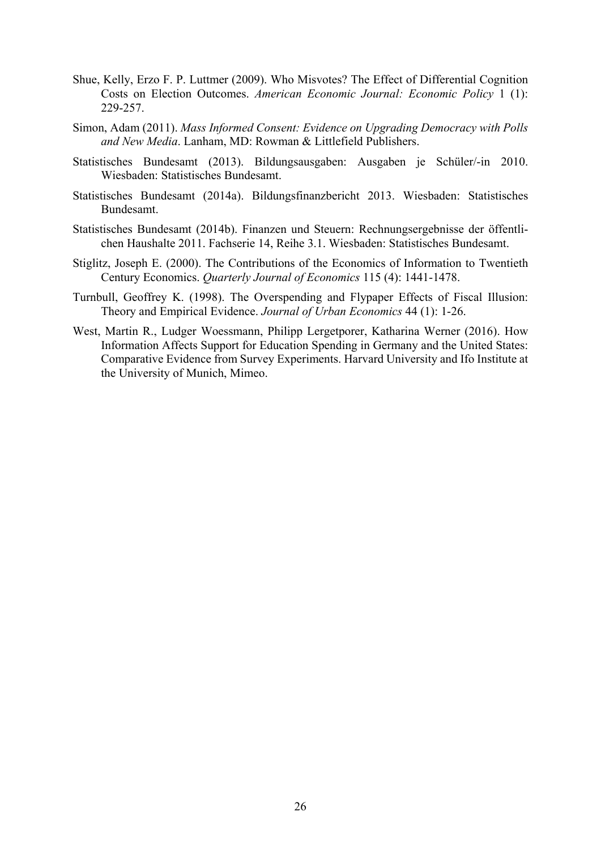- Shue, Kelly, Erzo F. P. Luttmer (2009). Who Misvotes? The Effect of Differential Cognition Costs on Election Outcomes. *American Economic Journal: Economic Policy* 1 (1): 229-257.
- Simon, Adam (2011). *Mass Informed Consent: Evidence on Upgrading Democracy with Polls and New Media*. Lanham, MD: Rowman & Littlefield Publishers.
- Statistisches Bundesamt (2013). Bildungsausgaben: Ausgaben je Schüler/-in 2010. Wiesbaden: Statistisches Bundesamt.
- Statistisches Bundesamt (2014a). Bildungsfinanzbericht 2013. Wiesbaden: Statistisches Bundesamt.
- Statistisches Bundesamt (2014b). Finanzen und Steuern: Rechnungsergebnisse der öffentlichen Haushalte 2011. Fachserie 14, Reihe 3.1. Wiesbaden: Statistisches Bundesamt.
- Stiglitz, Joseph E. (2000). The Contributions of the Economics of Information to Twentieth Century Economics. *Quarterly Journal of Economics* 115 (4): 1441-1478.
- Turnbull, Geoffrey K. (1998). The Overspending and Flypaper Effects of Fiscal Illusion: Theory and Empirical Evidence. *Journal of Urban Economics* 44 (1): 1-26.
- West, Martin R., Ludger Woessmann, Philipp Lergetporer, Katharina Werner (2016). How Information Affects Support for Education Spending in Germany and the United States: Comparative Evidence from Survey Experiments. Harvard University and Ifo Institute at the University of Munich, Mimeo.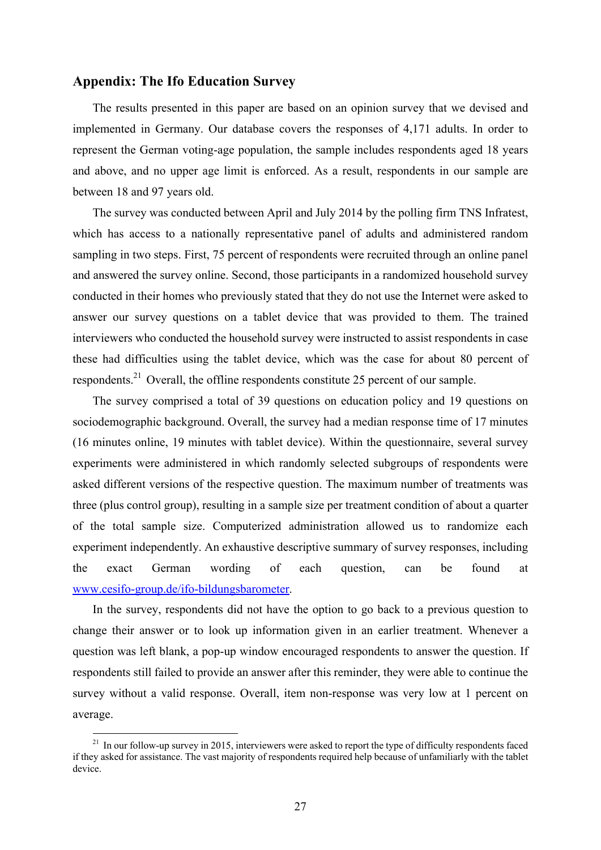#### **Appendix: The Ifo Education Survey**

The results presented in this paper are based on an opinion survey that we devised and implemented in Germany. Our database covers the responses of 4,171 adults. In order to represent the German voting-age population, the sample includes respondents aged 18 years and above, and no upper age limit is enforced. As a result, respondents in our sample are between 18 and 97 years old.

The survey was conducted between April and July 2014 by the polling firm TNS Infratest, which has access to a nationally representative panel of adults and administered random sampling in two steps. First, 75 percent of respondents were recruited through an online panel and answered the survey online. Second, those participants in a randomized household survey conducted in their homes who previously stated that they do not use the Internet were asked to answer our survey questions on a tablet device that was provided to them. The trained interviewers who conducted the household survey were instructed to assist respondents in case these had difficulties using the tablet device, which was the case for about 80 percent of respondents.<sup>21</sup> Overall, the offline respondents constitute 25 percent of our sample.

The survey comprised a total of 39 questions on education policy and 19 questions on sociodemographic background. Overall, the survey had a median response time of 17 minutes (16 minutes online, 19 minutes with tablet device). Within the questionnaire, several survey experiments were administered in which randomly selected subgroups of respondents were asked different versions of the respective question. The maximum number of treatments was three (plus control group), resulting in a sample size per treatment condition of about a quarter of the total sample size. Computerized administration allowed us to randomize each experiment independently. An exhaustive descriptive summary of survey responses, including the exact German wording of each question, can be found at www.cesifo-group.de/ifo-bildungsbarometer.

In the survey, respondents did not have the option to go back to a previous question to change their answer or to look up information given in an earlier treatment. Whenever a question was left blank, a pop-up window encouraged respondents to answer the question. If respondents still failed to provide an answer after this reminder, they were able to continue the survey without a valid response. Overall, item non-response was very low at 1 percent on average.

1

 $21$  In our follow-up survey in 2015, interviewers were asked to report the type of difficulty respondents faced if they asked for assistance. The vast majority of respondents required help because of unfamiliarly with the tablet device.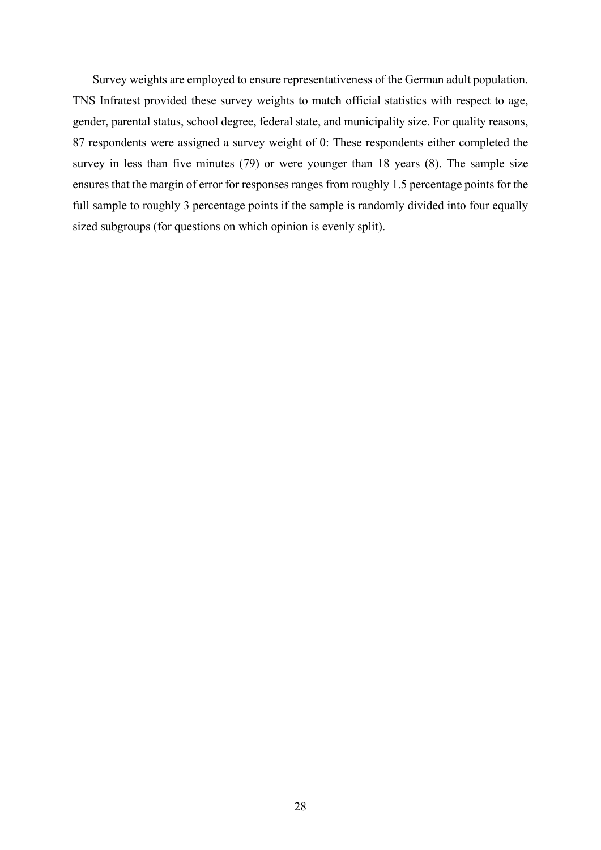Survey weights are employed to ensure representativeness of the German adult population. TNS Infratest provided these survey weights to match official statistics with respect to age, gender, parental status, school degree, federal state, and municipality size. For quality reasons, 87 respondents were assigned a survey weight of 0: These respondents either completed the survey in less than five minutes (79) or were younger than 18 years (8). The sample size ensures that the margin of error for responses ranges from roughly 1.5 percentage points for the full sample to roughly 3 percentage points if the sample is randomly divided into four equally sized subgroups (for questions on which opinion is evenly split).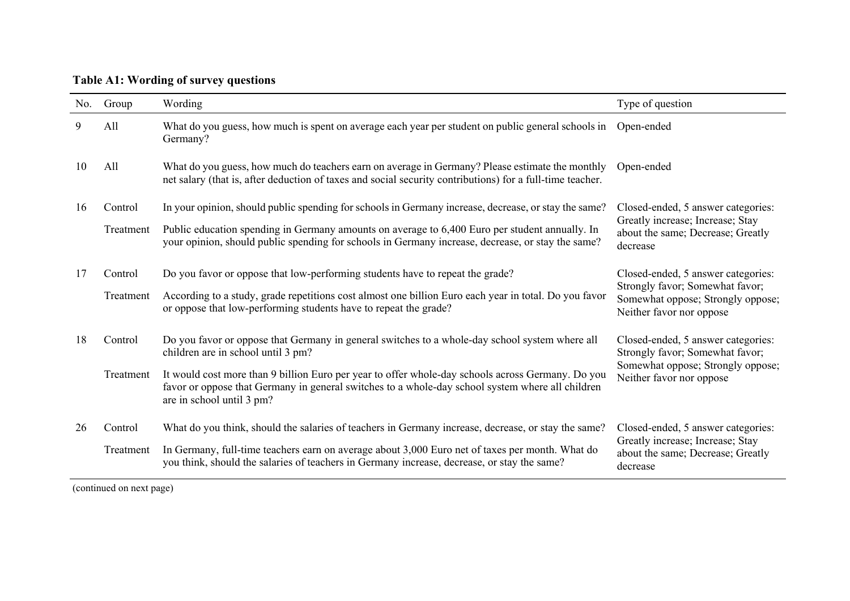**Table A1: Wording of survey questions** 

| No. | Group     | Wording                                                                                                                                                                                                                            | Type of question                                                                                 |
|-----|-----------|------------------------------------------------------------------------------------------------------------------------------------------------------------------------------------------------------------------------------------|--------------------------------------------------------------------------------------------------|
| 9   | All       | What do you guess, how much is spent on average each year per student on public general schools in<br>Germany?                                                                                                                     | Open-ended                                                                                       |
| 10  | All       | What do you guess, how much do teachers earn on average in Germany? Please estimate the monthly<br>net salary (that is, after deduction of taxes and social security contributions) for a full-time teacher.                       | Open-ended                                                                                       |
| 16  | Control   | In your opinion, should public spending for schools in Germany increase, decrease, or stay the same?                                                                                                                               | Closed-ended, 5 answer categories:                                                               |
|     | Treatment | Public education spending in Germany amounts on average to 6,400 Euro per student annually. In<br>your opinion, should public spending for schools in Germany increase, decrease, or stay the same?                                | Greatly increase; Increase; Stay<br>about the same; Decrease; Greatly<br>decrease                |
| 17  | Control   | Do you favor or oppose that low-performing students have to repeat the grade?                                                                                                                                                      | Closed-ended, 5 answer categories:                                                               |
|     | Treatment | According to a study, grade repetitions cost almost one billion Euro each year in total. Do you favor<br>or oppose that low-performing students have to repeat the grade?                                                          | Strongly favor; Somewhat favor;<br>Somewhat oppose; Strongly oppose;<br>Neither favor nor oppose |
| 18  | Control   | Do you favor or oppose that Germany in general switches to a whole-day school system where all<br>children are in school until 3 pm?                                                                                               | Closed-ended, 5 answer categories:<br>Strongly favor; Somewhat favor;                            |
|     | Treatment | It would cost more than 9 billion Euro per year to offer whole-day schools across Germany. Do you<br>favor or oppose that Germany in general switches to a whole-day school system where all children<br>are in school until 3 pm? | Somewhat oppose; Strongly oppose;<br>Neither favor nor oppose                                    |
| 26  | Control   | What do you think, should the salaries of teachers in Germany increase, decrease, or stay the same?                                                                                                                                | Closed-ended, 5 answer categories:                                                               |
|     | Treatment | In Germany, full-time teachers earn on average about 3,000 Euro net of taxes per month. What do<br>you think, should the salaries of teachers in Germany increase, decrease, or stay the same?                                     | Greatly increase; Increase; Stay<br>about the same; Decrease; Greatly<br>decrease                |

(continued on next page)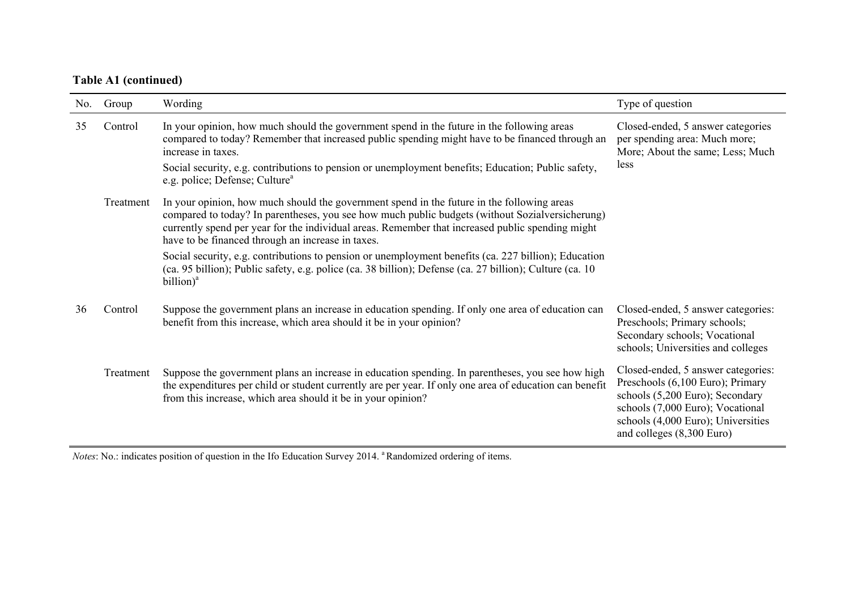## **Table A1 (continued)**

| No. | Group     | Wording                                                                                                                                                                                                                                                                                                                                                                 | Type of question                                                                                                                                                                                                 |
|-----|-----------|-------------------------------------------------------------------------------------------------------------------------------------------------------------------------------------------------------------------------------------------------------------------------------------------------------------------------------------------------------------------------|------------------------------------------------------------------------------------------------------------------------------------------------------------------------------------------------------------------|
| 35  | Control   | In your opinion, how much should the government spend in the future in the following areas<br>compared to today? Remember that increased public spending might have to be financed through an<br>increase in taxes.<br>Social security, e.g. contributions to pension or unemployment benefits; Education; Public safety,<br>e.g. police; Defense; Culture <sup>a</sup> | Closed-ended, 5 answer categories<br>per spending area: Much more;<br>More; About the same; Less; Much<br>less                                                                                                   |
|     | Treatment | In your opinion, how much should the government spend in the future in the following areas<br>compared to today? In parentheses, you see how much public budgets (without Sozialversicherung)<br>currently spend per year for the individual areas. Remember that increased public spending might<br>have to be financed through an increase in taxes.                  |                                                                                                                                                                                                                  |
|     |           | Social security, e.g. contributions to pension or unemployment benefits (ca. 227 billion); Education<br>(ca. 95 billion); Public safety, e.g. police (ca. 38 billion); Defense (ca. 27 billion); Culture (ca. 10<br>billion) <sup>a</sup>                                                                                                                               |                                                                                                                                                                                                                  |
| 36  | Control   | Suppose the government plans an increase in education spending. If only one area of education can<br>benefit from this increase, which area should it be in your opinion?                                                                                                                                                                                               | Closed-ended, 5 answer categories:<br>Preschools; Primary schools;<br>Secondary schools; Vocational<br>schools; Universities and colleges                                                                        |
|     | Treatment | Suppose the government plans an increase in education spending. In parentheses, you see how high<br>the expenditures per child or student currently are per year. If only one area of education can benefit<br>from this increase, which area should it be in your opinion?                                                                                             | Closed-ended, 5 answer categories:<br>Preschools (6,100 Euro); Primary<br>schools (5,200 Euro); Secondary<br>schools (7,000 Euro); Vocational<br>schools (4,000 Euro); Universities<br>and colleges (8,300 Euro) |

*Notes*: No.: indicates position of question in the Ifo Education Survey 2014. <sup>a</sup> Randomized ordering of items.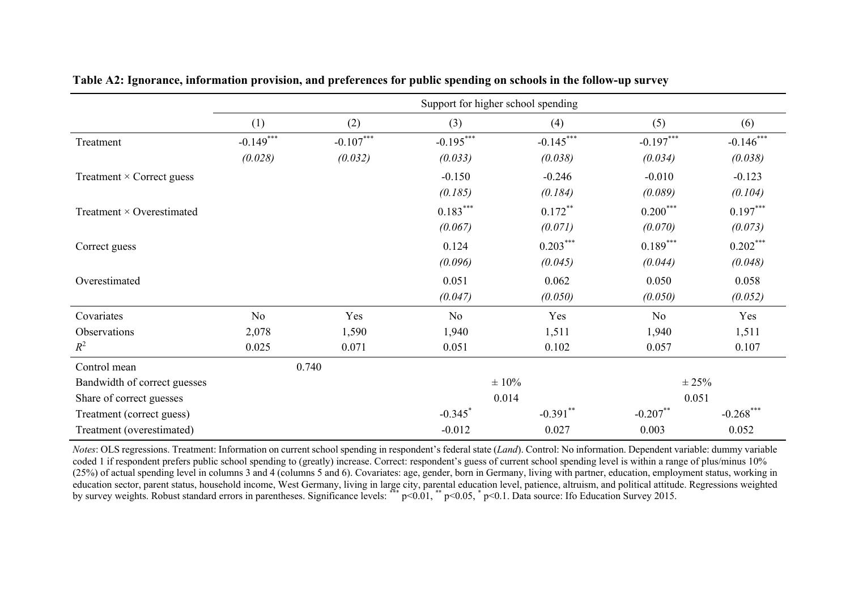|                                  | Support for higher school spending |             |                       |             |             |              |
|----------------------------------|------------------------------------|-------------|-----------------------|-------------|-------------|--------------|
|                                  | (1)                                | (2)         | (3)                   | (4)         | (5)         | (6)          |
| Treatment                        | $-0.149***$                        | $-0.107***$ | $-0.195***$           | $-0.145***$ | $-0.197***$ | $-0.146***$  |
|                                  | (0.028)                            | (0.032)     | (0.033)               | (0.038)     | (0.034)     | (0.038)      |
| Treatment $\times$ Correct guess |                                    |             | $-0.150$              | $-0.246$    | $-0.010$    | $-0.123$     |
|                                  |                                    |             | (0.185)               | (0.184)     | (0.089)     | (0.104)      |
| Treatment $\times$ Overestimated |                                    |             | $0.183***$            | $0.172$ **  | $0.200***$  | $0.197***$   |
|                                  |                                    |             | (0.067)               | (0.071)     | (0.070)     | (0.073)      |
| Correct guess                    |                                    |             | 0.124                 | $0.203***$  | $0.189***$  | $0.202***$   |
|                                  |                                    |             | (0.096)               | (0.045)     | (0.044)     | (0.048)      |
| Overestimated                    |                                    |             | 0.051                 | 0.062       | 0.050       | 0.058        |
|                                  |                                    |             | (0.047)               | (0.050)     | (0.050)     | (0.052)      |
| Covariates                       | N <sub>o</sub>                     | Yes         | N <sub>o</sub>        | Yes         | <b>No</b>   | Yes          |
| Observations                     | 2,078                              | 1,590       | 1,940                 | 1,511       | 1,940       | 1,511        |
| $R^2$                            | 0.025                              | 0.071       | 0.051                 | 0.102       | 0.057       | 0.107        |
| Control mean                     |                                    | 0.740       |                       |             |             |              |
| Bandwidth of correct guesses     |                                    |             |                       | $\pm 10\%$  | $\pm 25\%$  |              |
| Share of correct guesses         |                                    |             |                       | 0.014       | 0.051       |              |
| Treatment (correct guess)        |                                    |             | $-0.345$ <sup>*</sup> | $-0.391$ ** | $-0.207$ ** | $-0.268$ *** |
| Treatment (overestimated)        |                                    |             | $-0.012$              | 0.027       | 0.003       | 0.052        |

**Table A2: Ignorance, information provision, and preferences for public spending on schools in the follow-up survey** 

*Notes*: OLS regressions. Treatment: Information on current school spending in respondent's federal state (*Land*). Control: No information. Dependent variable: dummy variable coded 1 if respondent prefers public school spending to (greatly) increase. Correct: respondent's guess of current school spending level is within a range of plus/minus 10% (25%) of actual spending level in columns 3 and 4 (columns 5 and 6). Covariates: age, gender, born in Germany, living with partner, education, employment status, working in education sector, parent status, household income, West Germany, living in large city, parental education level, patience, altruism, and political attitude. Regressions weighted by survey weights. Robust standard errors in parentheses. Significance levels: \*\*\* p<0.01, \*\* p<0.05, \* p<0.1. Data source: Ifo Education Survey 2015.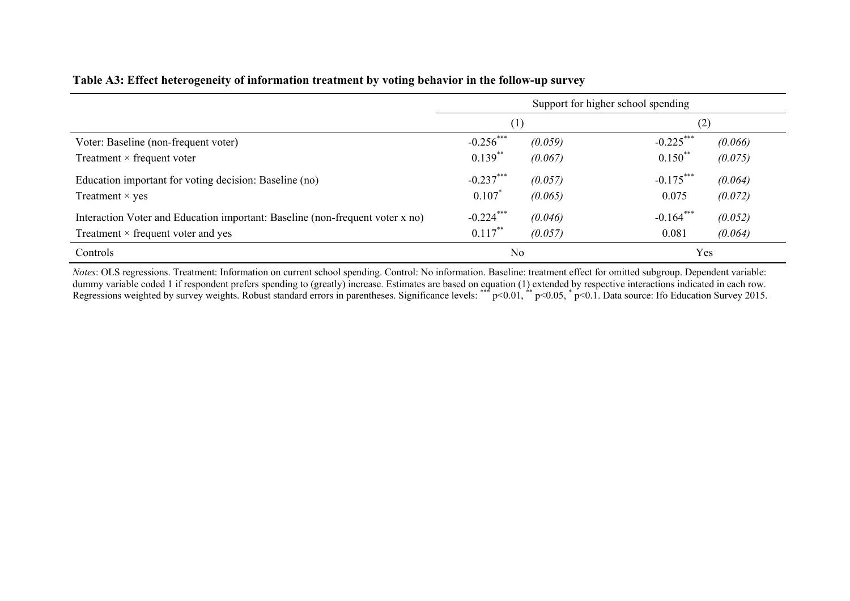#### **Table A3: Effect heterogeneity of information treatment by voting behavior in the follow-up survey**

|                                                                               |                |         | Support for higher school spending |         |
|-------------------------------------------------------------------------------|----------------|---------|------------------------------------|---------|
|                                                                               | (1)            |         | (2)                                |         |
| Voter: Baseline (non-frequent voter)                                          | $-0.256***$    | (0.059) | $-0.225***$                        | (0.066) |
| Treatment $\times$ frequent voter                                             | $0.139***$     | (0.067) | $0.150^{**}$                       | (0.075) |
| Education important for voting decision: Baseline (no)                        | $-0.237***$    | (0.057) | $-0.175***$                        | (0.064) |
| Treatment $\times$ yes                                                        | $0.107*$       | (0.065) | 0.075                              | (0.072) |
| Interaction Voter and Education important: Baseline (non-frequent voter x no) | $-0.224***$    | (0.046) | $-0.164***$                        | (0.052) |
| Treatment $\times$ frequent voter and yes                                     | $0.117***$     | (0.057) | 0.081                              | (0.064) |
| Controls                                                                      | N <sub>o</sub> |         | Yes                                |         |

*Notes*: OLS regressions. Treatment: Information on current school spending. Control: No information. Baseline: treatment effect for omitted subgroup. Dependent variable: dummy variable coded 1 if respondent prefers spending to (greatly) increase. Estimates are based on equation (1) extended by respective interactions indicated in each row. Regressions weighted by survey weights. Robust standard errors in parentheses. Significance levels: \*\*\* p<0.01, \*\* p<0.05, \*p<0.1. Data source: Ifo Education Survey 2015.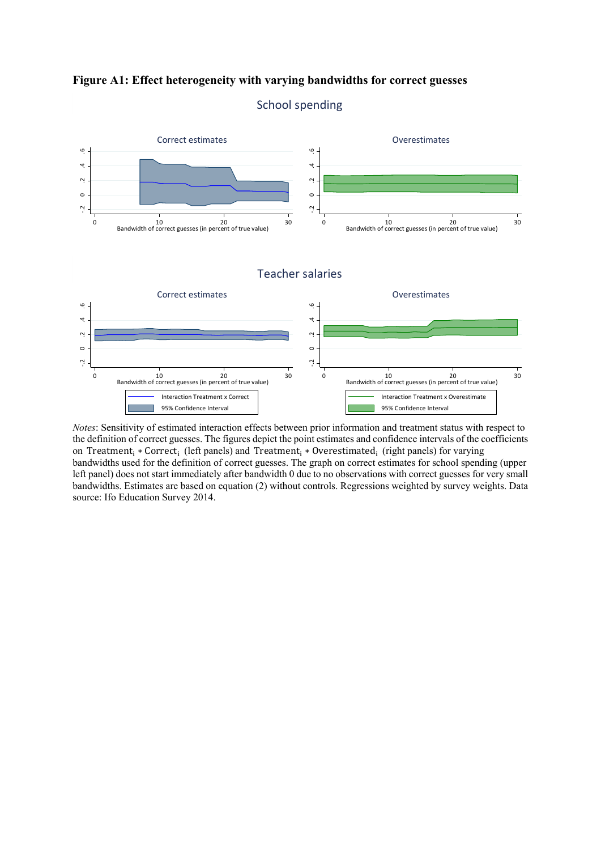**Figure A1: Effect heterogeneity with varying bandwidths for correct guesses** 



#### School spending

*Notes*: Sensitivity of estimated interaction effects between prior information and treatment status with respect to the definition of correct guesses. The figures depict the point estimates and confidence intervals of the coefficients on Treatment<sub>i</sub>  $*$  Correct<sub>i</sub> (left panels) and Treatment<sub>i</sub>  $*$  Overestimated<sub>i</sub> (right panels) for varying bandwidths used for the definition of correct guesses. The graph on correct estimates for school spending (upper left panel) does not start immediately after bandwidth 0 due to no observations with correct guesses for very small bandwidths. Estimates are based on equation (2) without controls. Regressions weighted by survey weights. Data source: Ifo Education Survey 2014.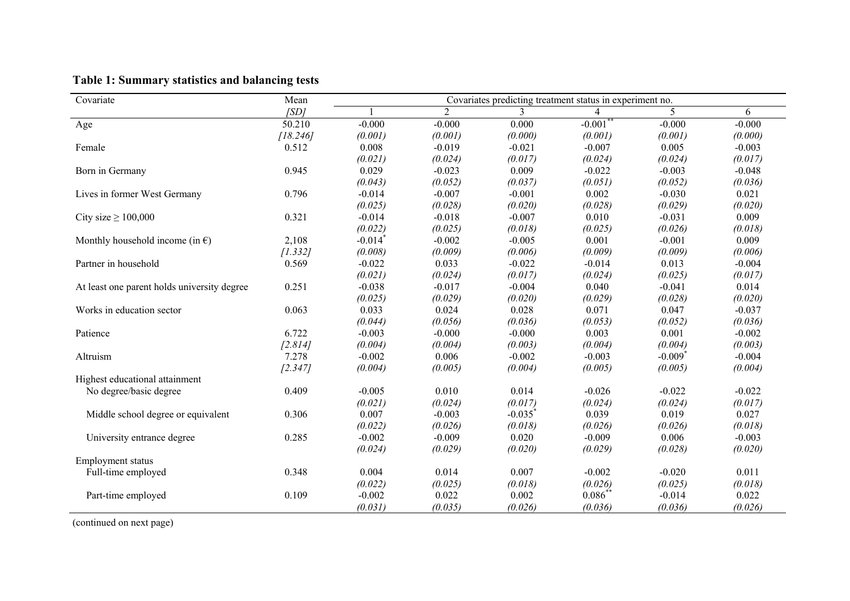| Covariate                                   | Mean     |                       |                | Covariates predicting treatment status in experiment no. |                       |                       |          |
|---------------------------------------------|----------|-----------------------|----------------|----------------------------------------------------------|-----------------------|-----------------------|----------|
|                                             | [SD]     |                       | $\overline{2}$ | 3                                                        | 4                     | 5                     | 6        |
| Age                                         | 50.210   | $-0.000$              | $-0.000$       | 0.000                                                    | $-0.001$ <sup>*</sup> | $-0.000$              | $-0.000$ |
|                                             | [18.246] | (0.001)               | (0.001)        | (0.000)                                                  | (0.001)               | (0.001)               | (0.000)  |
| Female                                      | 0.512    | 0.008                 | $-0.019$       | $-0.021$                                                 | $-0.007$              | 0.005                 | $-0.003$ |
|                                             |          | (0.021)               | (0.024)        | (0.017)                                                  | (0.024)               | (0.024)               | (0.017)  |
| Born in Germany                             | 0.945    | 0.029                 | $-0.023$       | 0.009                                                    | $-0.022$              | $-0.003$              | $-0.048$ |
|                                             |          | (0.043)               | (0.052)        | (0.037)                                                  | (0.051)               | (0.052)               | (0.036)  |
| Lives in former West Germany                | 0.796    | $-0.014$              | $-0.007$       | $-0.001$                                                 | 0.002                 | $-0.030$              | 0.021    |
|                                             |          | (0.025)               | (0.028)        | (0.020)                                                  | (0.028)               | (0.029)               | (0.020)  |
| City size $\geq 100,000$                    | 0.321    | $-0.014$              | $-0.018$       | $-0.007$                                                 | 0.010                 | $-0.031$              | 0.009    |
|                                             |          | (0.022)               | (0.025)        | (0.018)                                                  | (0.025)               | (0.026)               | (0.018)  |
| Monthly household income (in $\epsilon$ )   | 2,108    | $-0.014$ <sup>*</sup> | $-0.002$       | $-0.005$                                                 | 0.001                 | $-0.001$              | 0.009    |
|                                             | [1.332]  | (0.008)               | (0.009)        | (0.006)                                                  | (0.009)               | (0.009)               | (0.006)  |
| Partner in household                        | 0.569    | $-0.022$              | 0.033          | $-0.022$                                                 | $-0.014$              | 0.013                 | $-0.004$ |
|                                             |          | (0.021)               | (0.024)        | (0.017)                                                  | (0.024)               | (0.025)               | (0.017)  |
| At least one parent holds university degree | 0.251    | $-0.038$              | $-0.017$       | $-0.004$                                                 | 0.040                 | $-0.041$              | 0.014    |
|                                             |          | (0.025)               | (0.029)        | (0.020)                                                  | (0.029)               | (0.028)               | (0.020)  |
| Works in education sector                   | 0.063    | 0.033                 | 0.024          | 0.028                                                    | 0.071                 | 0.047                 | $-0.037$ |
|                                             |          | (0.044)               | (0.056)        | (0.036)                                                  | (0.053)               | (0.052)               | (0.036)  |
| Patience                                    | 6.722    | $-0.003$              | $-0.000$       | $-0.000$                                                 | 0.003                 | 0.001                 | $-0.002$ |
|                                             | [2.814]  | (0.004)               | (0.004)        | (0.003)                                                  | (0.004)               | (0.004)               | (0.003)  |
| Altruism                                    | 7.278    | $-0.002$              | 0.006          | $-0.002$                                                 | $-0.003$              | $-0.009$ <sup>*</sup> | $-0.004$ |
|                                             | [2.347]  | (0.004)               | (0.005)        | (0.004)                                                  | (0.005)               | (0.005)               | (0.004)  |
| Highest educational attainment              |          |                       |                |                                                          |                       |                       |          |
| No degree/basic degree                      | 0.409    | $-0.005$              | 0.010          | 0.014                                                    | $-0.026$              | $-0.022$              | $-0.022$ |
|                                             |          | (0.021)               | (0.024)        | (0.017)                                                  | (0.024)               | (0.024)               | (0.017)  |
| Middle school degree or equivalent          | 0.306    | 0.007                 | $-0.003$       | $-0.035$ <sup>*</sup>                                    | 0.039                 | 0.019                 | 0.027    |
|                                             |          | (0.022)               | (0.026)        | (0.018)                                                  | (0.026)               | (0.026)               | (0.018)  |
| University entrance degree                  | 0.285    | $-0.002$              | $-0.009$       | 0.020                                                    | $-0.009$              | 0.006                 | $-0.003$ |
|                                             |          | (0.024)               | (0.029)        | (0.020)                                                  | (0.029)               | (0.028)               | (0.020)  |
| <b>Employment status</b>                    |          |                       |                |                                                          |                       |                       |          |
| Full-time employed                          | 0.348    | 0.004                 | 0.014          | 0.007                                                    | $-0.002$              | $-0.020$              | 0.011    |
|                                             |          | (0.022)               | (0.025)        | (0.018)                                                  | (0.026)               | (0.025)               | (0.018)  |
| Part-time employed                          | 0.109    | $-0.002$              | 0.022          | 0.002                                                    | $0.086*$              | $-0.014$              | 0.022    |
|                                             |          | (0.031)               | (0.035)        | (0.026)                                                  | (0.036)               | (0.036)               | (0.026)  |

## **Table 1: Summary statistics and balancing tests**

(continued on next page)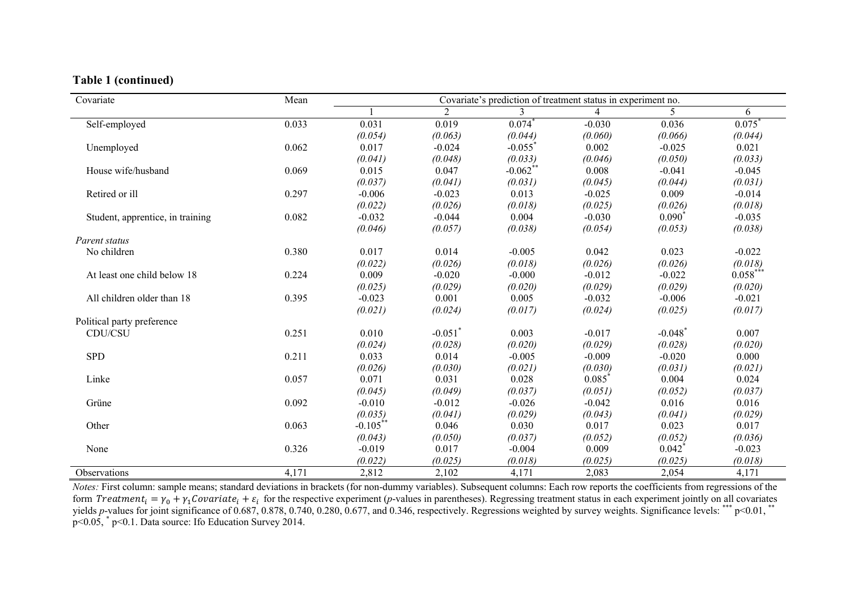#### **Table 1 (continued)**

| Covariate                        | Mean  |             |                       | Covariate's prediction of treatment status in experiment no. |                |                       |            |
|----------------------------------|-------|-------------|-----------------------|--------------------------------------------------------------|----------------|-----------------------|------------|
|                                  |       |             | $\overline{2}$        | 3                                                            | $\overline{4}$ | 5.                    | 6          |
| Self-employed                    | 0.033 | 0.031       | 0.019                 | 0.074                                                        | $-0.030$       | 0.036                 | 0.075      |
|                                  |       | (0.054)     | (0.063)               | (0.044)                                                      | (0.060)        | (0.066)               | (0.044)    |
| Unemployed                       | 0.062 | 0.017       | $-0.024$              | $-0.055$                                                     | 0.002          | $-0.025$              | 0.021      |
|                                  |       | (0.041)     | (0.048)               | (0.033)                                                      | (0.046)        | (0.050)               | (0.033)    |
| House wife/husband               | 0.069 | 0.015       | 0.047                 | $-0.062$ **                                                  | 0.008          | $-0.041$              | $-0.045$   |
|                                  |       | (0.037)     | (0.041)               | (0.031)                                                      | (0.045)        | (0.044)               | (0.031)    |
| Retired or ill                   | 0.297 | $-0.006$    | $-0.023$              | 0.013                                                        | $-0.025$       | 0.009                 | $-0.014$   |
|                                  |       | (0.022)     | (0.026)               | (0.018)                                                      | (0.025)        | (0.026)               | (0.018)    |
| Student, apprentice, in training | 0.082 | $-0.032$    | $-0.044$              | 0.004                                                        | $-0.030$       | $0.090^{\degree}$     | $-0.035$   |
|                                  |       | (0.046)     | (0.057)               | (0.038)                                                      | (0.054)        | (0.053)               | (0.038)    |
| Parent status                    |       |             |                       |                                                              |                |                       |            |
| No children                      | 0.380 | 0.017       | 0.014                 | $-0.005$                                                     | 0.042          | 0.023                 | $-0.022$   |
|                                  |       | (0.022)     | (0.026)               | (0.018)                                                      | (0.026)        | (0.026)               | (0.018)    |
| At least one child below 18      | 0.224 | 0.009       | $-0.020$              | $-0.000$                                                     | $-0.012$       | $-0.022$              | $0.058***$ |
|                                  |       | (0.025)     | (0.029)               | (0.020)                                                      | (0.029)        | (0.029)               | (0.020)    |
| All children older than 18       | 0.395 | $-0.023$    | 0.001                 | 0.005                                                        | $-0.032$       | $-0.006$              | $-0.021$   |
|                                  |       | (0.021)     | (0.024)               | (0.017)                                                      | (0.024)        | (0.025)               | (0.017)    |
| Political party preference       |       |             |                       |                                                              |                |                       |            |
| CDU/CSU                          | 0.251 | 0.010       | $-0.051$ <sup>*</sup> | 0.003                                                        | $-0.017$       | $-0.048$ <sup>*</sup> | 0.007      |
|                                  |       | (0.024)     | (0.028)               | (0.020)                                                      | (0.029)        | (0.028)               | (0.020)    |
| <b>SPD</b>                       | 0.211 | 0.033       | 0.014                 | $-0.005$                                                     | $-0.009$       | $-0.020$              | 0.000      |
|                                  |       | (0.026)     | (0.030)               | (0.021)                                                      | (0.030)        | (0.031)               | (0.021)    |
| Linke                            | 0.057 | 0.071       | 0.031                 | 0.028                                                        | 0.085          | 0.004                 | 0.024      |
|                                  |       | (0.045)     | (0.049)               | (0.037)                                                      | (0.051)        | (0.052)               | (0.037)    |
| Grüne                            | 0.092 | $-0.010$    | $-0.012$              | $-0.026$                                                     | $-0.042$       | 0.016                 | 0.016      |
|                                  |       | (0.035)     | (0.041)               | (0.029)                                                      | (0.043)        | (0.041)               | (0.029)    |
| Other                            | 0.063 | $-0.105$ ** | 0.046                 | 0.030                                                        | 0.017          | 0.023                 | 0.017      |
|                                  |       | (0.043)     | (0.050)               | (0.037)                                                      | (0.052)        | (0.052)               | (0.036)    |
| None                             | 0.326 | $-0.019$    | 0.017                 | $-0.004$                                                     | 0.009          | 0.042                 | $-0.023$   |
|                                  |       | (0.022)     | (0.025)               | (0.018)                                                      | (0.025)        | (0.025)               | (0.018)    |
| Observations                     | 4,171 | 2,812       | 2,102                 | 4,171                                                        | 2,083          | 2,054                 | 4,171      |

*Notes:* First column: sample means; standard deviations in brackets (for non-dummy variables). Subsequent columns: Each row reports the coefficients from regressions of the form *Treatment<sub>i</sub>* =  $\gamma_0 + \gamma_1$ *Covariate<sub>i</sub>* +  $\varepsilon_i$  for the respective experiment (*p*-values in parentheses). Regressing treatment status in each experiment jointly on all covariates yields *p*-values for joint significance of 0.687, 0.878, 0.740, 0.280, 0.677, and 0.346, respectively. Regressions weighted by survey weights. Significance levels: \*\*\* p<0.01, \*\* p<0.05, \* p<0.1. Data source: Ifo Education Survey 2014.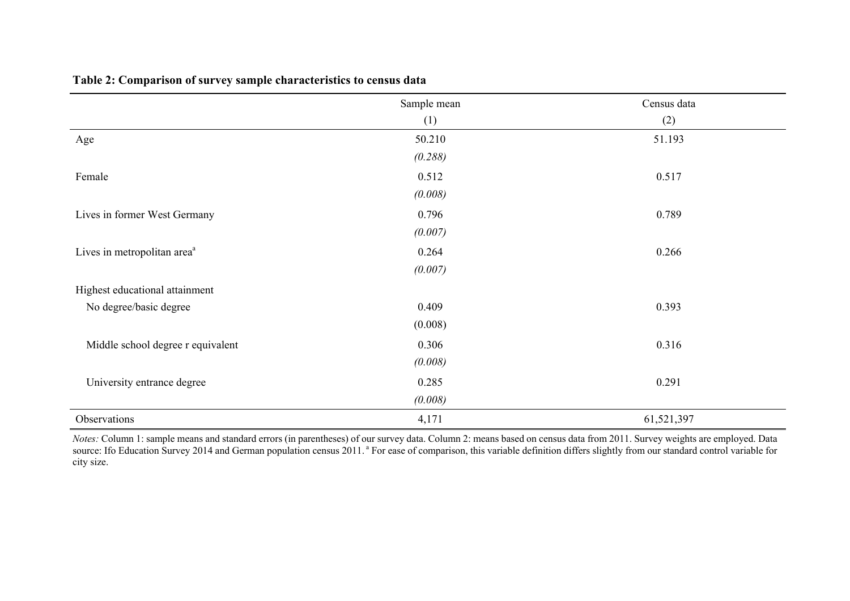|                                         | Sample mean | Census data |
|-----------------------------------------|-------------|-------------|
|                                         | (1)         | (2)         |
| Age                                     | 50.210      | 51.193      |
|                                         | (0.288)     |             |
| Female                                  | 0.512       | 0.517       |
|                                         | (0.008)     |             |
| Lives in former West Germany            | 0.796       | 0.789       |
|                                         | (0.007)     |             |
| Lives in metropolitan area <sup>a</sup> | 0.264       | 0.266       |
|                                         | (0.007)     |             |
| Highest educational attainment          |             |             |
| No degree/basic degree                  | 0.409       | 0.393       |
|                                         | (0.008)     |             |
| Middle school degree r equivalent       | 0.306       | 0.316       |
|                                         | (0.008)     |             |
| University entrance degree              | 0.285       | 0.291       |
|                                         | (0.008)     |             |
| Observations                            | 4,171       | 61,521,397  |

**Table 2: Comparison of survey sample characteristics to census data** 

*Notes:* Column 1: sample means and standard errors (in parentheses) of our survey data. Column 2: means based on census data from 2011. Survey weights are employed. Data source: Ifo Education Survey 2014 and German population census 2011. <sup>a</sup> For ease of comparison, this variable definition differs slightly from our standard control variable for city size.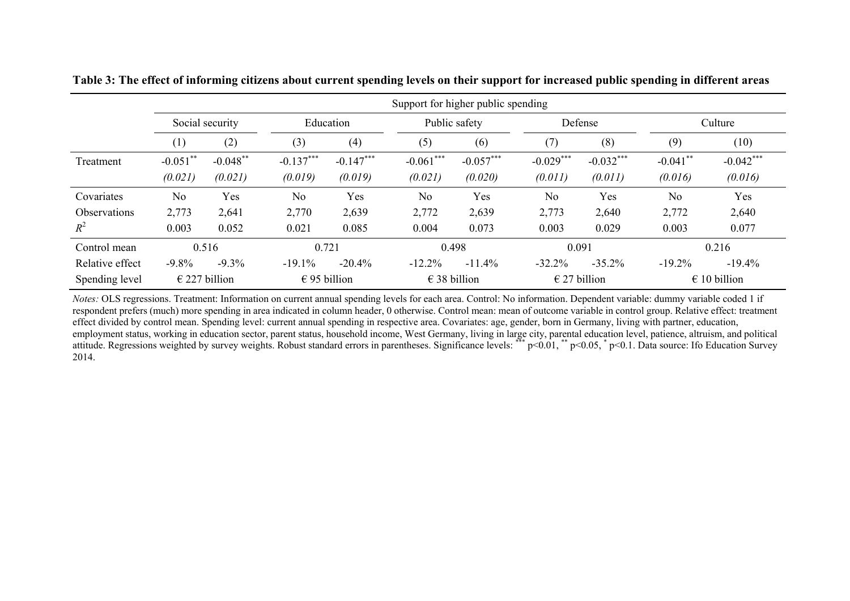|                     | Support for higher public spending |                        |              |             |                |                       |                |                       |                |                       |  |
|---------------------|------------------------------------|------------------------|--------------|-------------|----------------|-----------------------|----------------|-----------------------|----------------|-----------------------|--|
|                     |                                    | Social security        |              | Education   |                | Public safety         |                | Defense               |                | Culture               |  |
|                     | $\left(1\right)$                   | (2)                    | (3)          | (4)         | (5)            | (6)                   | (7)            | (8)                   | (9)            | (10)                  |  |
| Treatment           | $-0.051$ **                        | $-0.048$ **            | $-0.137***$  | $-0.147***$ | $-0.061***$    | $-0.057***$           | $-0.029***$    | $-0.032***$           | $-0.041$ **    | $-0.042***$           |  |
|                     | (0.021)                            | (0.021)                | (0.019)      | (0.019)     | (0.021)        | (0.020)               | (0.011)        | (0.011)               | (0.016)        | (0.016)               |  |
| Covariates          | N <sub>o</sub>                     | Yes                    | No           | Yes         | N <sub>o</sub> | Yes                   | N <sub>o</sub> | Yes                   | N <sub>0</sub> | Yes                   |  |
| <b>Observations</b> | 2,773                              | 2,641                  | 2,770        | 2,639       | 2,772          | 2,639                 | 2,773          | 2,640                 | 2,772          | 2,640                 |  |
| $R^2$               | 0.003                              | 0.052                  | 0.021        | 0.085       | 0.004          | 0.073                 | 0.003          | 0.029                 | 0.003          | 0.077                 |  |
| Control mean        |                                    | 0.516                  | 0.721        |             |                | 0.498                 |                | 0.091                 |                | 0.216                 |  |
| Relative effect     | $-9.8\%$                           | $-9.3%$                | $-19.1%$     | $-20.4%$    | $-12.2\%$      | $-11.4%$              | $-32.2%$       | $-35.2%$              | $-19.2%$       | $-19.4%$              |  |
| Spending level      |                                    | $\epsilon$ 227 billion | € 95 billion |             |                | $\epsilon$ 38 billion |                | $\epsilon$ 27 billion |                | $\epsilon$ 10 billion |  |

**Table 3: The effect of informing citizens about current spending levels on their support for increased public spending in different areas** 

*Notes:* OLS regressions. Treatment: Information on current annual spending levels for each area. Control: No information. Dependent variable: dummy variable coded 1 if respondent prefers (much) more spending in area indicated in column header, 0 otherwise. Control mean: mean of outcome variable in control group. Relative effect: treatment effect divided by control mean. Spending level: current annual spending in respective area. Covariates: age, gender, born in Germany, living with partner, education, employment status, working in education sector, parent status, household income, West Germany, living in large city, parental education level, patience, altruism, and political attitude. Regressions weighted by survey weights. Robust standard errors in parentheses. Significance levels: \*\*\*  $p<0.01$ , \*\*  $p<0.05$ , \*  $p<0.1$ . Data source: Ifo Education Survey 2014.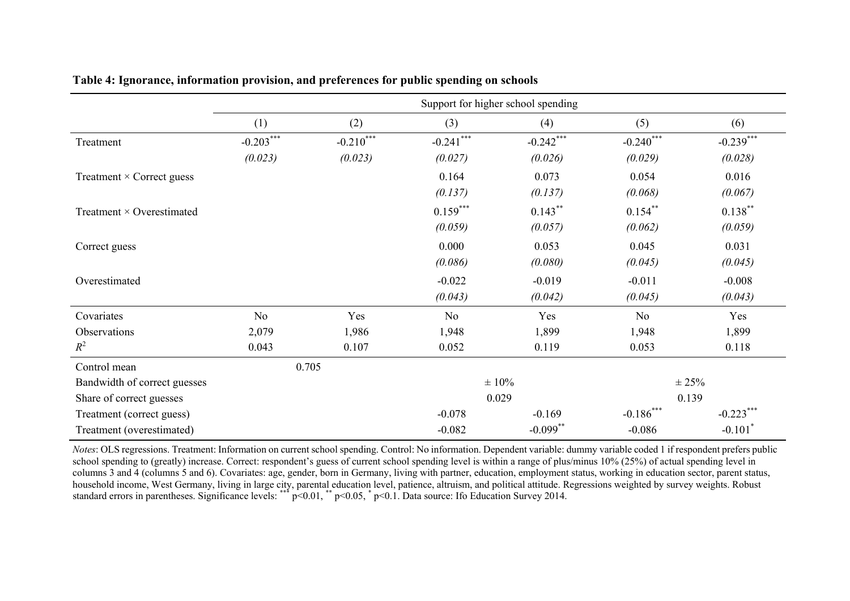|                                  | Support for higher school spending |             |                |             |                |                       |  |
|----------------------------------|------------------------------------|-------------|----------------|-------------|----------------|-----------------------|--|
|                                  | (1)                                | (2)         | (3)            | (4)         | (5)            | (6)                   |  |
| Treatment                        | $-0.203***$                        | $-0.210***$ | $-0.241***$    | $-0.242***$ | $-0.240$ ***   | $-0.239***$           |  |
|                                  | (0.023)                            | (0.023)     | (0.027)        | (0.026)     | (0.029)        | (0.028)               |  |
| Treatment $\times$ Correct guess |                                    |             | 0.164          | 0.073       | 0.054          | 0.016                 |  |
|                                  |                                    |             | (0.137)        | (0.137)     | (0.068)        | (0.067)               |  |
| Treatment $\times$ Overestimated |                                    |             | $0.159***$     | $0.143***$  | $0.154***$     | $0.138***$            |  |
|                                  |                                    |             | (0.059)        | (0.057)     | (0.062)        | (0.059)               |  |
| Correct guess                    |                                    |             | 0.000          | 0.053       | 0.045          | 0.031                 |  |
|                                  |                                    |             | (0.086)        | (0.080)     | (0.045)        | (0.045)               |  |
| Overestimated                    |                                    |             | $-0.022$       | $-0.019$    | $-0.011$       | $-0.008$              |  |
|                                  |                                    |             | (0.043)        | (0.042)     | (0.045)        | (0.043)               |  |
| Covariates                       | N <sub>o</sub>                     | Yes         | N <sub>o</sub> | Yes         | N <sub>o</sub> | Yes                   |  |
| Observations                     | 2,079                              | 1,986       | 1,948          | 1,899       | 1,948          | 1,899                 |  |
| $R^2$                            | 0.043                              | 0.107       | 0.052          | 0.119       | 0.053          | 0.118                 |  |
| Control mean                     |                                    | 0.705       |                |             |                |                       |  |
| Bandwidth of correct guesses     |                                    |             |                | $\pm 10\%$  |                | $\pm 25\%$            |  |
| Share of correct guesses         |                                    |             | 0.029          |             | 0.139          |                       |  |
| Treatment (correct guess)        |                                    |             | $-0.078$       | $-0.169$    | $-0.186***$    | $-0.223***$           |  |
| Treatment (overestimated)        |                                    |             | $-0.082$       | $-0.099$ ** | $-0.086$       | $-0.101$ <sup>*</sup> |  |

#### **Table 4: Ignorance, information provision, and preferences for public spending on schools**

*Notes*: OLS regressions. Treatment: Information on current school spending. Control: No information. Dependent variable: dummy variable coded 1 if respondent prefers public school spending to (greatly) increase. Correct: respondent's guess of current school spending level is within a range of plus/minus 10% (25%) of actual spending level in columns 3 and 4 (columns 5 and 6). Covariates: age, gender, born in Germany, living with partner, education, employment status, working in education sector, parent status, household income, West Germany, living in large city, parental education level, patience, altruism, and political attitude. Regressions weighted by survey weights. Robust standard errors in parentheses. Significance levels: \*\*\*  $p<0.01$ , \*\*  $p<0.05$ , \*  $p<0.1$ . Data source: Ifo Education Survey 2014.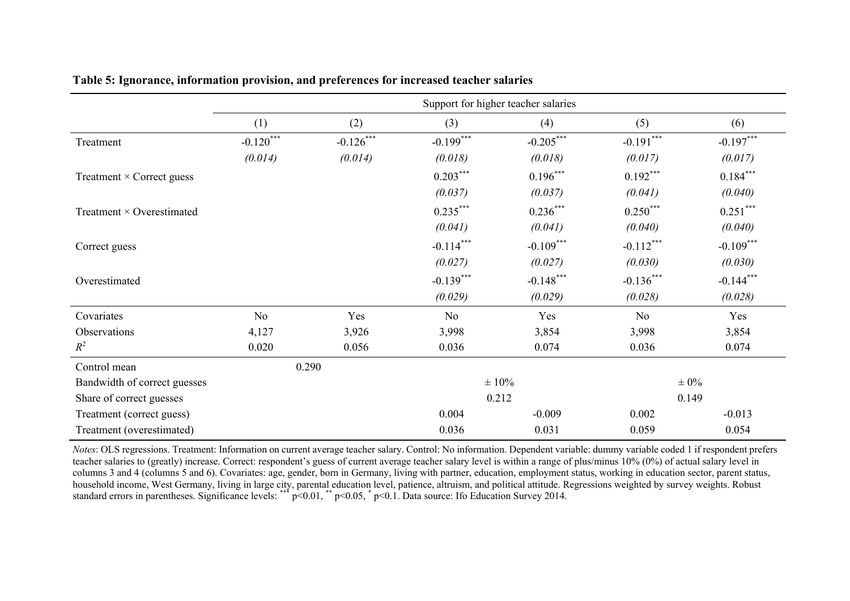|                                  | Support for higher teacher salaries |             |             |             |                |             |  |
|----------------------------------|-------------------------------------|-------------|-------------|-------------|----------------|-------------|--|
|                                  | (1)                                 | (2)         | (3)         | (4)         | (5)            | (6)         |  |
| Treatment                        | $-0.120***$                         | $-0.126***$ | $-0.199***$ | $-0.205***$ | $-0.191***$    | $-0.197***$ |  |
|                                  | (0.014)                             | (0.014)     | (0.018)     | (0.018)     | (0.017)        | (0.017)     |  |
| Treatment $\times$ Correct guess |                                     |             | $0.203***$  | $0.196***$  | $0.192***$     | $0.184***$  |  |
|                                  |                                     |             | (0.037)     | (0.037)     | (0.041)        | (0.040)     |  |
| Treatment $\times$ Overestimated |                                     |             | $0.235***$  | $0.236***$  | $0.250***$     | $0.251***$  |  |
|                                  |                                     |             | (0.041)     | (0.041)     | (0.040)        | (0.040)     |  |
| Correct guess                    |                                     |             | $-0.114***$ | $-0.109***$ | $-0.112***$    | $-0.109***$ |  |
|                                  |                                     |             | (0.027)     | (0.027)     | (0.030)        | (0.030)     |  |
| Overestimated                    |                                     |             | $-0.139***$ | $-0.148***$ | $-0.136***$    | $-0.144***$ |  |
|                                  |                                     |             | (0.029)     | (0.029)     | (0.028)        | (0.028)     |  |
| Covariates                       | No                                  | Yes         | No          | Yes         | N <sub>o</sub> | Yes         |  |
| Observations                     | 4,127                               | 3,926       | 3,998       | 3,854       | 3,998          | 3,854       |  |
| $R^2$                            | 0.020                               | 0.056       | 0.036       | 0.074       | 0.036          | 0.074       |  |
| Control mean                     |                                     | 0.290       |             |             |                |             |  |
| Bandwidth of correct guesses     |                                     |             |             | $\pm 10\%$  |                | $\pm 0\%$   |  |
| Share of correct guesses         |                                     |             | 0.212       |             |                | 0.149       |  |
| Treatment (correct guess)        |                                     |             | 0.004       | $-0.009$    | 0.002          | $-0.013$    |  |
| Treatment (overestimated)        |                                     |             | 0.036       | 0.031       | 0.059          | 0.054       |  |

**Table 5: Ignorance, information provision, and preferences for increased teacher salaries** 

*Notes*: OLS regressions. Treatment: Information on current average teacher salary. Control: No information. Dependent variable: dummy variable coded 1 if respondent prefers teacher salaries to (greatly) increase. Correct: respondent's guess of current average teacher salary level is within a range of plus/minus 10% (0%) of actual salary level in columns 3 and 4 (columns 5 and 6). Covariates: age, gender, born in Germany, living with partner, education, employment status, working in education sector, parent status, household income, West Germany, living in large city, parental education level, patience, altruism, and political attitude. Regressions weighted by survey weights. Robust standard errors in parentheses. Significance levels: \*\*\*  $p<0.01$ , \*\*  $p<0.05$ , \*  $p<0.1$ . Data source: Ifo Education Survey 2014.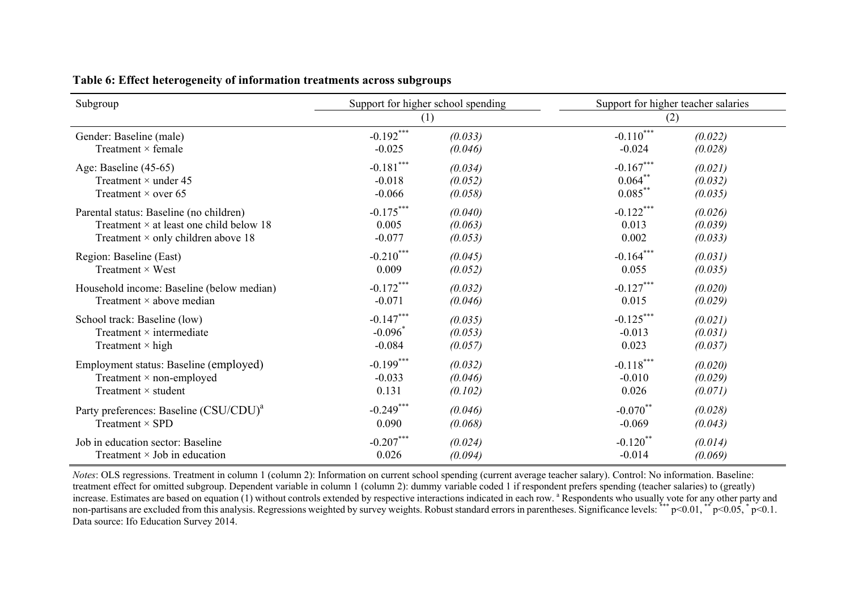| Subgroup                                           | Support for higher school spending |         | Support for higher teacher salaries |         |  |
|----------------------------------------------------|------------------------------------|---------|-------------------------------------|---------|--|
|                                                    | (1)                                |         | (2)                                 |         |  |
| Gender: Baseline (male)                            | $-0.192***$                        | (0.033) | $-0.110***$                         | (0.022) |  |
| Treatment $\times$ female                          | $-0.025$                           | (0.046) | $-0.024$                            | (0.028) |  |
| Age: Baseline (45-65)                              | $-0.181***$                        | (0.034) | $-0.167***$                         | (0.021) |  |
| Treatment $\times$ under 45                        | $-0.018$                           | (0.052) | $0.064$ **                          | (0.032) |  |
| Treatment $\times$ over 65                         | $-0.066$                           | (0.058) | $0.085***$                          | (0.035) |  |
| Parental status: Baseline (no children)            | $-0.175***$                        | (0.040) | $-0.122***$                         | (0.026) |  |
| Treatment $\times$ at least one child below 18     | 0.005                              | (0.063) | 0.013                               | (0.039) |  |
| Treatment $\times$ only children above 18          | $-0.077$                           | (0.053) | 0.002                               | (0.033) |  |
| Region: Baseline (East)                            | $-0.210***$                        | (0.045) | $-0.164***$                         | (0.031) |  |
| Treatment $\times$ West                            | 0.009                              | (0.052) | 0.055                               | (0.035) |  |
| Household income: Baseline (below median)          | $-0.172***$                        | (0.032) | $-0.127***$                         | (0.020) |  |
| Treatment $\times$ above median                    | $-0.071$                           | (0.046) | 0.015                               | (0.029) |  |
| School track: Baseline (low)                       | $-0.147***$                        | (0.035) | $-0.125***$                         | (0.021) |  |
| Treatment $\times$ intermediate                    | $-0.096$ <sup>*</sup>              | (0.053) | $-0.013$                            | (0.031) |  |
| Treatment $\times$ high                            | $-0.084$                           | (0.057) | 0.023                               | (0.037) |  |
| Employment status: Baseline (employed)             | $-0.199***$                        | (0.032) | $-0.118***$                         | (0.020) |  |
| Treatment $\times$ non-employed                    | $-0.033$                           | (0.046) | $-0.010$                            | (0.029) |  |
| Treatment $\times$ student                         | 0.131                              | (0.102) | 0.026                               | (0.071) |  |
| Party preferences: Baseline (CSU/CDU) <sup>a</sup> | $-0.249***$                        | (0.046) | $-0.070$ **                         | (0.028) |  |
| Treatment $\times$ SPD                             | 0.090                              | (0.068) | $-0.069$                            | (0.043) |  |
| Job in education sector: Baseline                  | $-0.207***$                        | (0.024) | $-0.120$ <sup>**</sup>              | (0.014) |  |
| Treatment $\times$ Job in education                | 0.026                              | (0.094) | $-0.014$                            | (0.069) |  |

**Table 6: Effect heterogeneity of information treatments across subgroups** 

*Notes*: OLS regressions. Treatment in column 1 (column 2): Information on current school spending (current average teacher salary). Control: No information. Baseline: treatment effect for omitted subgroup. Dependent variable in column 1 (column 2): dummy variable coded 1 if respondent prefers spending (teacher salaries) to (greatly) increase. Estimates are based on equation (1) without controls extended by respective interactions indicated in each row. <sup>a</sup> Respondents who usually vote for any other party and non-partisans are excluded from this analysis. Regressions weighted by survey weights. Robust standard errors in parentheses. Significance levels: \*\*\* p<0.01, \*\* p<0.05, \* p<0.1. Data source: Ifo Education Survey 2014.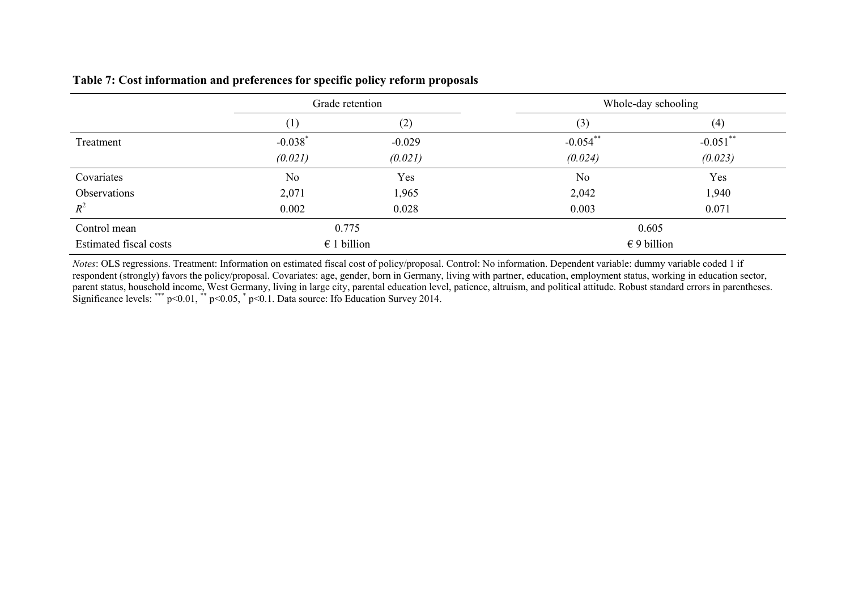#### **Table 7: Cost information and preferences for specific policy reform proposals**

|                               | Grade retention       |          | Whole-day schooling  |             |
|-------------------------------|-----------------------|----------|----------------------|-------------|
|                               | $\perp$               | (2)      | (3)                  | (4)         |
| Treatment                     | $-0.038$ <sup>*</sup> | $-0.029$ | $-0.054$ **          | $-0.051$ ** |
|                               | (0.021)               | (0.021)  | (0.024)              | (0.023)     |
| Covariates                    | N <sub>o</sub>        | Yes      | N <sub>0</sub>       | Yes         |
| Observations                  | 2,071                 | 1,965    | 2,042                | 1,940       |
| $R^2$                         | 0.002                 | 0.028    | 0.003                | 0.071       |
| Control mean                  | 0.775                 |          | 0.605                |             |
| <b>Estimated fiscal costs</b> | $\epsilon$ 1 billion  |          | $\epsilon$ 9 billion |             |

*Notes*: OLS regressions. Treatment: Information on estimated fiscal cost of policy/proposal. Control: No information. Dependent variable: dummy variable coded 1 if respondent (strongly) favors the policy/proposal. Covariates: age, gender, born in Germany, living with partner, education, employment status, working in education sector, parent status, household income, West Germany, living in large city, parental education level, patience, altruism, and political attitude. Robust standard errors in parentheses. Significance levels: \*\*\*  $p<0.01$ , \*\*  $p<0.05$ , \*  $p<0.1$ . Data source: Ifo Education Survey 2014.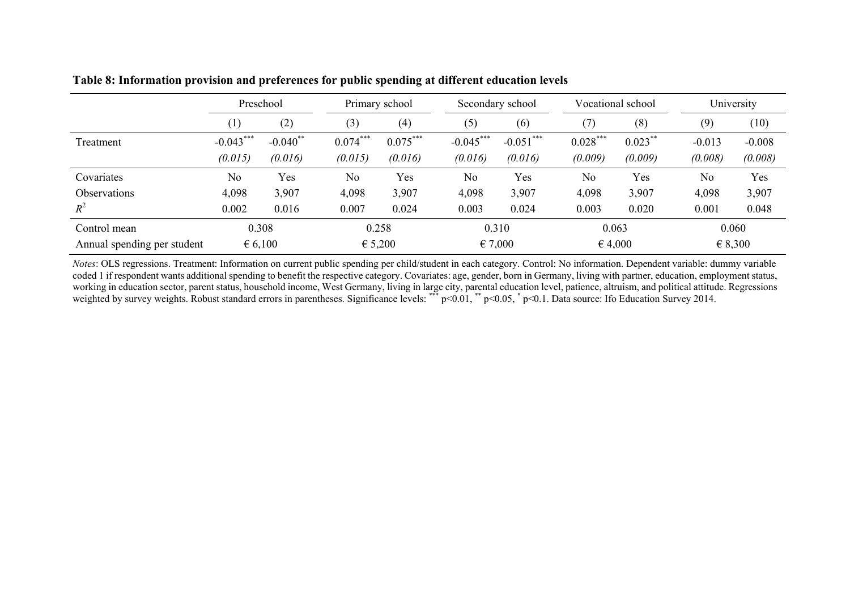|                             | Preschool        |             | Primary school |            | Secondary school |             | Vocational school |            | University     |          |  |
|-----------------------------|------------------|-------------|----------------|------------|------------------|-------------|-------------------|------------|----------------|----------|--|
|                             | $\left(1\right)$ | (2)         | (3)            | (4)        | (5)              | (6)         | (7)               | (8)        | (9)            | (10)     |  |
| Treatment                   | $-0.043***$      | $-0.040$ ** | $0.074***$     | $0.075***$ | $-0.045***$      | $-0.051***$ | $0.028***$        | $0.023***$ | $-0.013$       | $-0.008$ |  |
|                             | (0.015)          | (0.016)     | (0.015)        | (0.016)    | (0.016)          | (0.016)     | (0.009)           | (0.009)    | (0.008)        | (0.008)  |  |
| Covariates                  | No               | Yes         | N <sub>0</sub> | Yes        | N <sub>o</sub>   | Yes         | N <sub>0</sub>    | Yes        | N <sub>o</sub> | Yes      |  |
| <b>Observations</b>         | 4,098            | 3,907       | 4,098          | 3,907      | 4,098            | 3,907       | 4,098             | 3,907      | 4,098          | 3,907    |  |
| $R^2$                       | 0.002            | 0.016       | 0.007          | 0.024      | 0.003            | 0.024       | 0.003             | 0.020      | 0.001          | 0.048    |  |
| Control mean                | 0.308            |             | 0.258          |            | 0.310            |             | 0.063             |            |                | 0.060    |  |
| Annual spending per student | € 6,100          |             | € 5,200        |            | € 7,000          |             | € 4,000           |            |                | € 8,300  |  |

**Table 8: Information provision and preferences for public spending at different education levels** 

*Notes*: OLS regressions. Treatment: Information on current public spending per child/student in each category. Control: No information. Dependent variable: dummy variable coded 1 if respondent wants additional spending to benefit the respective category. Covariates: age, gender, born in Germany, living with partner, education, employment status, working in education sector, parent status, household income, West Germany, living in large city, parental education level, patience, altruism, and political attitude. Regressions weighted by survey weights. Robust standard errors in parentheses. Significance levels: \*\*\* p<0.01, \*\* p<0.05, \* p<0.1. Data source: Ifo Education Survey 2014.